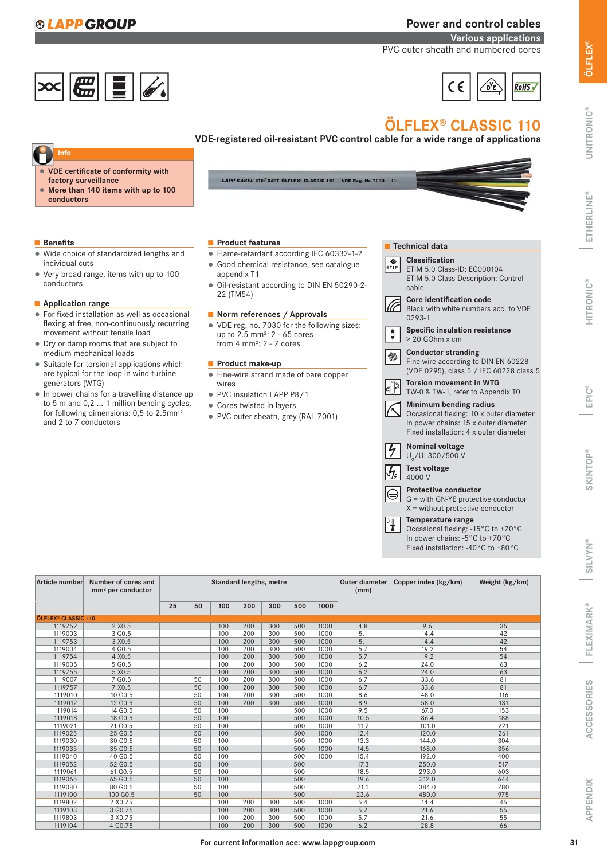# **APP GROUP**

# Power and control cables

ZУ,

**RoHS** 

Various applications PVC outer sheath and numbered cores



# ÖLFLEX® CLASSIC 110

 $\epsilon$ 

VDE-registered oil-resistant PVC control cable for a wide range of applications

- **Ƕ** VDE certificate of conformity with factory surveillance
- **Ƕ** More than 140 items with up to 100 conductors

#### ■ Benefits

- Ƕ Wide choice of standardized lengths and individual cuts
- Ƕ Very broad range, items with up to 100 conductors

#### ■ Application range

- Ƕ For fixed installation as well as occasional flexing at free, non-continuously recurring movement without tensile load
- Ƕ Dry or damp rooms that are subject to medium mechanical loads
- Suitable for torsional applications which are typical for the loop in wind turbine generators (WTG)
- Ƕ In power chains for a travelling distance up to 5 m and 0,2 ... 1 million bending cycles, for following dimensions: 0,5 to 2.5mm² and 2 to 7 conductors

LAPP KABEL STUITGART OLFLEX' CLASSIC 110 VDE Reg. Nr. 7030 CE

## ■ Product features

- Ƕ Flame-retardant according IEC 60332-1-2
- Ƕ Good chemical resistance, see catalogue appendix T1
- Ƕ Oil-resistant according to DIN EN 50290-2- 22 (TM54)

## ■ Norm references / Approvals

Ƕ VDE reg. no. 7030 for the following sizes: up to 2.5 mm²: 2 - 65 cores from 4 mm²: 2 - 7 cores

### ■ Product make-up

- Ƕ Fine-wire strand made of bare copper wires
- Ƕ PVC insulation LAPP P8/1
- Ƕ Cores twisted in layers
- Ƕ PVC outer sheath, grey (RAL 7001)

|                      | <b>Technical data</b>                                                                                                                               |
|----------------------|-----------------------------------------------------------------------------------------------------------------------------------------------------|
| ETÎM                 | Classification<br>ETIM 5.0 Class-ID: EC000104<br>ETIM 5.0 Class-Description: Control<br>cable                                                       |
|                      | <b>Core identification code</b><br>Black with white numbers acc. to VDE<br>$0293 - 1$                                                               |
|                      | <b>Specific insulation resistance</b><br>$> 20$ GOhm $\times$ cm                                                                                    |
|                      | <b>Conductor stranding</b><br>Fine wire according to DIN EN 60228<br>(VDE 0295), class 5 / IEC 60228 class 5                                        |
|                      | <b>Torsion movement in WTG</b><br>TW-0 & TW-1, refer to Appendix T0                                                                                 |
|                      | Minimum bending radius<br>Occasional flexing: 10 x outer diameter<br>In power chains: 15 x outer diameter<br>Fixed installation: 4 x outer diameter |
| $\frac{1}{\sqrt{2}}$ | Nominal voltage<br>$U_0/U$ : 300/500 V                                                                                                              |
| $\frac{1}{\sqrt{2}}$ | <b>Test voltage</b><br>4000 V                                                                                                                       |
|                      | <b>Protective conductor</b><br>G = with GN-YE protective conductor<br>$X =$ without protective conductor                                            |
|                      | Temperature range<br>Occasional flexing: -15°C to +70°C                                                                                             |

Occasional flexing: -15°C to +70°C In power chains: -5°C to +70°C Fixed installation: -40°C to +80°C

| Article number                        | Number of cores and<br>mm <sup>2</sup> per conductor |    |    |     |     | <b>Standard lengths, metre</b> |     |      | <b>Outer diameter</b><br>(mm) | Copper index (kg/km) | Weight (kg/km) |
|---------------------------------------|------------------------------------------------------|----|----|-----|-----|--------------------------------|-----|------|-------------------------------|----------------------|----------------|
|                                       |                                                      | 25 | 50 | 100 | 200 | 300                            | 500 | 1000 |                               |                      |                |
| <b>ÖLFLEX<sup>®</sup> CLASSIC 110</b> |                                                      |    |    |     |     |                                |     |      |                               |                      |                |
| 1119752                               | 2 X0.5                                               |    |    | 100 | 200 | 300                            | 500 | 1000 | 4.8                           | 9.6                  | 35             |
| 1119003                               | 3 G <sub>0.5</sub>                                   |    |    | 100 | 200 | 300                            | 500 | 1000 | 5.1                           | 14.4                 | 42             |
| 1119753                               | 3 X0.5                                               |    |    | 100 | 200 | 300                            | 500 | 1000 | 5.1                           | 14.4                 | 42             |
| 1119004                               | 4 G0.5                                               |    |    | 100 | 200 | 300                            | 500 | 1000 | 5.7                           | 19.2                 | 54             |
| 1119754                               | 4 X0.5                                               |    |    | 100 | 200 | 300                            | 500 | 1000 | 5.7                           | 19.2                 | 54             |
| 1119005                               | 5 GO.5                                               |    |    | 100 | 200 | 300                            | 500 | 1000 | 6.2                           | 24.0                 | 63             |
| 1119755                               | 5 X0.5                                               |    |    | 100 | 200 | 300                            | 500 | 1000 | 6.2                           | 24.0                 | 63             |
| 1119007                               | 7 G0.5                                               |    | 50 | 100 | 200 | 300                            | 500 | 1000 | 6.7                           | 33.6                 | 81             |
| 1119757                               | 7 X0.5                                               |    | 50 | 100 | 200 | 300                            | 500 | 1000 | 6.7                           | 33.6                 | 81             |
| 1119010                               | 10 G <sub>0.5</sub>                                  |    | 50 | 100 | 200 | 300                            | 500 | 1000 | 8.6                           | 48.0                 | 116            |
| 1119012                               | 12 GO.5                                              |    | 50 | 100 | 200 | 300                            | 500 | 1000 | 8.9                           | 58.0                 | 131            |
| 1119014                               | 14 GO.5                                              |    | 50 | 100 |     |                                | 500 | 1000 | 9.5                           | 67.0                 | 153            |
| 1119018                               | 18 GO.5                                              |    | 50 | 100 |     |                                | 500 | 1000 | 10.5                          | 86.4                 | 188            |
| 1119021                               | 21 G0.5                                              |    | 50 | 100 |     |                                | 500 | 1000 | 11.7                          | 101.0                | 221            |
| 1119025                               | 25 GO.5                                              |    | 50 | 100 |     |                                | 500 | 1000 | 12.4                          | 120.0                | 261            |
| 1119030                               | 30 GO.5                                              |    | 50 | 100 |     |                                | 500 | 1000 | 13.3                          | 144.0                | 304            |
| 1119035                               | 35 GO.5                                              |    | 50 | 100 |     |                                | 500 | 1000 | 14.5                          | 168.0                | 356            |
| 1119040                               | 40 G0.5                                              |    | 50 | 100 |     |                                | 500 | 1000 | 15.4                          | 192.0                | 400            |
| 1119052                               | 52 G0.5                                              |    | 50 | 100 |     |                                | 500 |      | 17.3                          | 250.0                | 517            |
| 1119061                               | 61 GO.5                                              |    | 50 | 100 |     |                                | 500 |      | 18.5                          | 293.0                | 603            |
| 1119065                               | 65 GO.5                                              |    | 50 | 100 |     |                                | 500 |      | 19.6                          | 312.0                | 644            |
| 1119080                               | 80 G <sub>0.5</sub>                                  |    | 50 | 100 |     |                                | 500 |      | 21.1                          | 384.0                | 780            |
| 1119100                               | 100 G0.5                                             |    | 50 | 100 |     |                                | 500 |      | 23.6                          | 480.0                | 975            |
| 1119802                               | 2 X0.75                                              |    |    | 100 | 200 | 300                            | 500 | 1000 | 5.4                           | 14.4                 | 45             |
| 1119103                               | 3 G0.75                                              |    |    | 100 | 200 | 300                            | 500 | 1000 | 5.7                           | 21.6                 | 55             |
| 1119803                               | 3 X0.75                                              |    |    | 100 | 200 | 300                            | 500 | 1000 | 5.7                           | 21.6                 | 55             |
| 1119104                               | 4 G0.75                                              |    |    | 100 | 200 | 300                            | 500 | 1000 | 6.2                           | 28.8                 | 66             |

UNITRONIC®

**UNITRONIC®** 

ACCESSORIES

**ACCESSORIES** 

APPENDIX

**APPENDIX**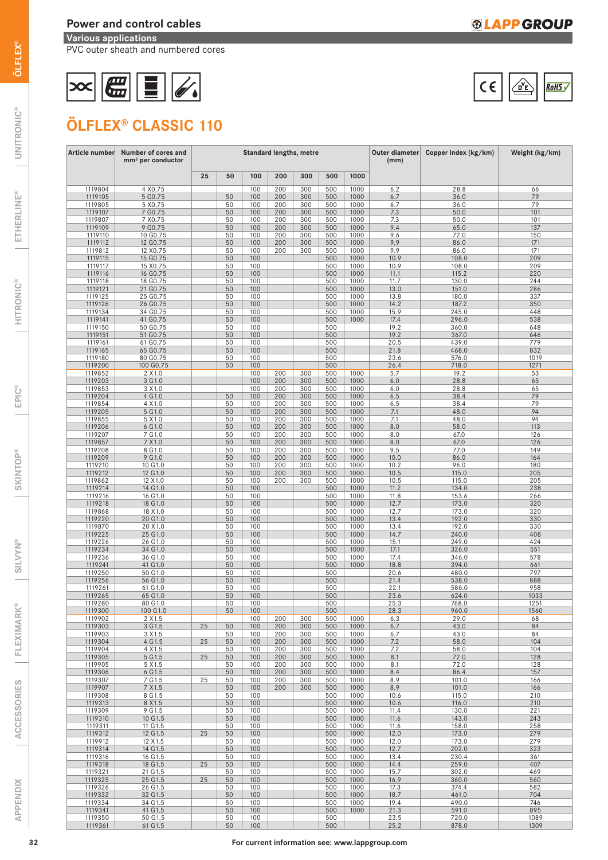# Power and control cables

Various applications

PVC outer sheath and numbered cores

# $\boxed{\text{CC}}$

# ÖLFLEX® CLASSIC 110

| 25<br>100<br>200<br>50<br>300<br>500<br>1000<br>1119804<br>4 X0.75<br>100<br>200<br>300<br>500<br>1000<br>6.2<br>28.8<br>66<br>1119105<br>5 GO.75<br>50<br>100<br>200<br>500<br>1000<br>6.7<br>36.0<br>300<br>79<br>5 X0.75<br>100<br>200<br>1000<br>36.0<br>79<br>1119805<br>50<br>300<br>500<br>6.7<br>7 G0.75<br>50<br>100<br>200<br>500<br>1000<br>7.3<br>50.0<br>101<br>1119107<br>300<br>7 X0.75<br>100<br>200<br>300<br>500<br>1000<br>50.0<br>1119807<br>50<br>7.3<br>101<br>9 G <sub>0.75</sub><br>50<br>100<br>200<br>500<br>1000<br>9.4<br>65.0<br>137<br>1119109<br>300<br>100<br>200<br>300<br>1000<br>9.6<br>72.0<br>150<br>1119110<br>10 G0.75<br>50<br>500<br>1119112<br>12 G0.75<br>50<br>100<br>200<br>500<br>1000<br>9.9<br>86.0<br>171<br>300<br>12 X0.75<br>100<br>200<br>300<br>500<br>1000<br>9.9<br>171<br>1119812<br>50<br>86.0<br>50<br>100<br>500<br>1000<br>10.9<br>108.0<br>209<br>1119115<br>15 GO.75<br>100<br>500<br>1000<br>209<br>1119117<br>15 X0.75<br>50<br>10.9<br>108.0<br>1119116<br>16 G0.75<br>50<br>100<br>500<br>1000<br>11.1<br>115.2<br>220<br>100<br>18 GO.75<br>50<br>500<br>1000<br>130.0<br>244<br>1119118<br>11.7<br>1119121<br>21 G0.75<br>50<br>100<br>500<br>1000<br>13.0<br>151.0<br>286<br>100<br>25 G0.75<br>500<br>1000<br>180.0<br>337<br>1119125<br>50<br>13.8<br>1119126<br>26 G0.75<br>50<br>100<br>500<br>1000<br>14.2<br>187.2<br>350<br>100<br>1000<br>34 G0.75<br>50<br>500<br>15.9<br>245.0<br>448<br>1119134<br>1119141<br>41 G0.75<br>50<br>100<br>500<br>1000<br>17.4<br>296.0<br>538<br>100<br>50 GO.75<br>500<br>360.0<br>1119150<br>50<br>19.2<br>648<br>1119151<br>51 G0.75<br>50<br>100<br>500<br>19.2<br>367.0<br>646<br>100<br>50<br>500<br>20.5<br>439.0<br>779<br>1119161<br>61 G0.75<br>50<br>1119165<br>100<br>500<br>468.0<br>832<br>65 GO.75<br>21.8<br>100<br>1119180<br>80 G0.75<br>50<br>500<br>23.6<br>576.0<br>1019<br>1119200<br>100 G0.75<br>50<br>100<br>500<br>718.0<br>1271<br>26.4<br>100<br>300<br>500<br>5.7<br>19.2<br>53<br>1119852<br>2 X 1.0<br>200<br>1000<br>3 G1.0<br>100<br>200<br>500<br>1000<br>6.0<br>28.8<br>65<br>1119203<br>300<br>3 X 1.0<br>100<br>200<br>500<br>1000<br>1119853<br>300<br>6.0<br>28.8<br>65<br>50<br>1119204<br>4 G 1.0<br>100<br>200<br>300<br>500<br>1000<br>6.5<br>38.4<br>79<br>100<br>1000<br>79<br>4 X 1.0<br>50<br>200<br>300<br>500<br>38.4<br>1119854<br>6.5<br>94<br>5 G1.0<br>50<br>100<br>200<br>300<br>500<br>1000<br>7.1<br>48.0<br>1119205<br>94<br>5 X 1.0<br>50<br>100<br>200<br>300<br>500<br>1000<br>48.0<br>1119855<br>7.1<br>1119206<br>6 G 1.0<br>50<br>100<br>200<br>500<br>1000<br>8.0<br>58.0<br>113<br>300<br>1000<br>7 G1.0<br>50<br>100<br>200<br>300<br>500<br>8.0<br>126<br>1119207<br>67.0<br>50<br>7 X 1.0<br>100<br>200<br>300<br>500<br>1000<br>8.0<br>67.0<br>126<br>1119857<br>8 G 1.0<br>50<br>100<br>200<br>300<br>500<br>1000<br>77.0<br>149<br>1119208<br>9.5<br>9 G 1.0<br>50<br>100<br>200<br>1000<br>10.0<br>86.0<br>164<br>1119209<br>300<br>500<br>1000<br>10 G1.0<br>50<br>100<br>200<br>300<br>500<br>10.2<br>96.0<br>180<br>1119210<br>12 G1.0<br>50<br>100<br>200<br>500<br>1000<br>10.5<br>115.0<br>205<br>1119212<br>300<br>12 X 1.0<br>100<br>1000<br>205<br>1119862<br>50<br>200<br>300<br>500<br>10.5<br>115.0<br>1119214<br>14 G 1.0<br>50<br>100<br>1000<br>11.2<br>134.0<br>238<br>500<br>16 G1.0<br>100<br>500<br>1000<br>153.6<br>1119216<br>50<br>11.8<br>266<br>18 G 1.0<br>50<br>100<br>500<br>1000<br>12.7<br>173.0<br>320<br>1119218<br>18 X 1.0<br>100<br>500<br>1000<br>320<br>1119868<br>50<br>12.7<br>173.0<br>20 G1.0<br>192.0<br>1119220<br>50<br>100<br>500<br>1000<br>13.4<br>330<br>20 X1.0<br>100<br>500<br>1000<br>192.0<br>330<br>1119870<br>50<br>13.4<br>25 G1.0<br>50<br>100<br>500<br>1000<br>14.7<br>240.0<br>408<br>1119225<br>26 G1.0<br>100<br>500<br>1000<br>249.0<br>424<br>1119226<br>50<br>15.1<br>1119234<br>34 G1.0<br>50<br>100<br>500<br>1000<br>17.1<br>326.0<br>551<br>36 G1.0<br>100<br>500<br>1000<br>1119236<br>50<br>17.4<br>346.0<br>578<br>41 G1.0<br>50<br>100<br>500<br>1000<br>18.8<br>1119241<br>394.0<br>661<br>50 G1.0<br>100<br>500<br>797<br>1119250<br>50<br>20.6<br>480.0<br>1119256<br>56 G1.0<br>50<br>100<br>500<br>21.4<br>888<br>538.0<br>50<br>100<br>500<br>22.1<br>958<br>1119261<br>61 G1.0<br>586.0<br>50<br>100<br>500<br>1033<br>1119265<br>65 G1.0<br>23.6<br>624.0<br>100<br>500<br>1119280<br>80 G1.0<br>50<br>25.3<br>768.0<br>1251<br>1119300<br>50<br>100<br>500<br>28.3<br>960.0<br>1560<br>100 G1.0<br>1119902<br>2 X 1.5<br>100<br>200<br>300<br>500<br>1000<br>6.3<br>29.0<br>68<br>25<br>1119303<br>50<br>1000<br>43.0<br>84<br>3 G 1.5<br>100<br>200<br>300<br>500<br>6.7<br>1119903<br>3 X 1.5<br>50<br>100<br>200<br>300<br>500<br>1000<br>6.7<br>43.0<br>84<br>25<br>50<br>1000<br>1119304<br>4 G 1.5<br>100<br>200<br>300<br>500<br>7.2<br>58.0<br>104<br>1119904<br>4 X 1.5<br>50<br>100<br>200<br>300<br>500<br>1000<br>7.2<br>58.0<br>104<br>25<br>50<br>1119305<br>5 G 1.5<br>100<br>200<br>300<br>500<br>1000<br>8.1<br>72.0<br>128<br>1000<br>1119905<br>5 X 1.5<br>50<br>100<br>200<br>300<br>500<br>8.1<br>72.0<br>128<br>50<br>1000<br>1119306<br>6 G1.5<br>100<br>200<br>300<br>500<br>8.4<br>86.4<br>157<br>1119307<br>7 G1.5<br>25<br>50<br>100<br>200<br>300<br>500<br>1000<br>8.9<br>101.0<br>166<br>50<br>8.9<br>1119907<br>7 X 1.5<br>100<br>200<br>300<br>500<br>1000<br>101.0<br>166<br>1119308<br>8 G 1.5<br>50<br>100<br>500<br>1000<br>10.6<br>115.0<br>210<br>8 X 1.5<br>50<br>1119313<br>100<br>500<br>1000<br>10.6<br>116.0<br>210<br>1119309<br>9 G 1.5<br>50<br>100<br>500<br>1000<br>11.4<br>130.0<br>221<br>50<br>1119310<br>10 G1.5<br>100<br>500<br>1000<br>11.6<br>143.0<br>243<br>1119311<br>11 G 1.5<br>50<br>100<br>500<br>1000<br>11.6<br>158.0<br>258<br>25<br>12 G1.5<br>1119312<br>50<br>100<br>500<br>1000<br>12.0<br>173.0<br>279<br>279<br>1119912<br>12 X 1.5<br>50<br>100<br>500<br>1000<br>12.0<br>173.0<br>323<br>1119314<br>14 G 1.5<br>50<br>100<br>500<br>1000<br>12.7<br>202.0<br>1119316<br>16 G 1.5<br>50<br>100<br>500<br>1000<br>13.4<br>230.4<br>361<br>1119318<br>18 G 1.5<br>25<br>100<br>500<br>1000<br>259.0<br>407<br>50<br>14.4<br>100<br>15.7<br>1119321<br>21 G1.5<br>50<br>500<br>1000<br>302.0<br>469<br>25<br>1119325<br>25 G1.5<br>50<br>100<br>500<br>1000<br>16.9<br>360.0<br>560<br>1119326<br>26 G1.5<br>50<br>100<br>500<br>1000<br>17.3<br>374.4<br>582<br>1000<br>1119332<br>32 G1.5<br>50<br>100<br>500<br>18.7<br>461.0<br>704<br>100<br>746<br>1119334<br>34 G1.5<br>50<br>500<br>1000<br>19.4<br>490.0<br>50<br>1000<br>895<br>1119341<br>41 G1.5<br>100<br>500<br>21.3<br>591.0<br>1119350<br>50 G1.5<br>50<br>100<br>500<br>23.5<br>720.0<br>1089 | Article number | Number of cores and<br>mm <sup>2</sup> per conductor | <b>Standard lengths, metre</b> |    |     |  |  |     |  | Outer diameter<br>(mm) | Copper index (kg/km) | Weight (kg/km) |
|-------------------------------------------------------------------------------------------------------------------------------------------------------------------------------------------------------------------------------------------------------------------------------------------------------------------------------------------------------------------------------------------------------------------------------------------------------------------------------------------------------------------------------------------------------------------------------------------------------------------------------------------------------------------------------------------------------------------------------------------------------------------------------------------------------------------------------------------------------------------------------------------------------------------------------------------------------------------------------------------------------------------------------------------------------------------------------------------------------------------------------------------------------------------------------------------------------------------------------------------------------------------------------------------------------------------------------------------------------------------------------------------------------------------------------------------------------------------------------------------------------------------------------------------------------------------------------------------------------------------------------------------------------------------------------------------------------------------------------------------------------------------------------------------------------------------------------------------------------------------------------------------------------------------------------------------------------------------------------------------------------------------------------------------------------------------------------------------------------------------------------------------------------------------------------------------------------------------------------------------------------------------------------------------------------------------------------------------------------------------------------------------------------------------------------------------------------------------------------------------------------------------------------------------------------------------------------------------------------------------------------------------------------------------------------------------------------------------------------------------------------------------------------------------------------------------------------------------------------------------------------------------------------------------------------------------------------------------------------------------------------------------------------------------------------------------------------------------------------------------------------------------------------------------------------------------------------------------------------------------------------------------------------------------------------------------------------------------------------------------------------------------------------------------------------------------------------------------------------------------------------------------------------------------------------------------------------------------------------------------------------------------------------------------------------------------------------------------------------------------------------------------------------------------------------------------------------------------------------------------------------------------------------------------------------------------------------------------------------------------------------------------------------------------------------------------------------------------------------------------------------------------------------------------------------------------------------------------------------------------------------------------------------------------------------------------------------------------------------------------------------------------------------------------------------------------------------------------------------------------------------------------------------------------------------------------------------------------------------------------------------------------------------------------------------------------------------------------------------------------------------------------------------------------------------------------------------------------------------------------------------------------------------------------------------------------------------------------------------------------------------------------------------------------------------------------------------------------------------------------------------------------------------------------------------------------------------------------------------------------------------------------------------------------------------------------------------------------------------------------------------------------------------------------------------------------------------------------------------------------------------------------------------------------------------------------------------------------------------------------------------------------------------------------------------------------------------------------------------------------------------------------------------------------------------------------------------------------------------------------------------------------------------------------------------------------------------------------------------------------------------------------------------------------------------------------------------------------------------------------------------------------------------------------------------------------------------------------------------------------------------------------------------------------------------------------------------------------------------------------------------------------------------------------------------------------------------------------------------------------------------------------------------------------------------------------------------------------------------------------------------------------------------------------------------------------------------------------------------------------------------------------------------------------------------------|----------------|------------------------------------------------------|--------------------------------|----|-----|--|--|-----|--|------------------------|----------------------|----------------|
|                                                                                                                                                                                                                                                                                                                                                                                                                                                                                                                                                                                                                                                                                                                                                                                                                                                                                                                                                                                                                                                                                                                                                                                                                                                                                                                                                                                                                                                                                                                                                                                                                                                                                                                                                                                                                                                                                                                                                                                                                                                                                                                                                                                                                                                                                                                                                                                                                                                                                                                                                                                                                                                                                                                                                                                                                                                                                                                                                                                                                                                                                                                                                                                                                                                                                                                                                                                                                                                                                                                                                                                                                                                                                                                                                                                                                                                                                                                                                                                                                                                                                                                                                                                                                                                                                                                                                                                                                                                                                                                                                                                                                                                                                                                                                                                                                                                                                                                                                                                                                                                                                                                                                                                                                                                                                                                                                                                                                                                                                                                                                                                                                                                                                                                                                                                                                                                                                                                                                                                                                                                                                                                                                                                                                                                                                                                                                                                                                                                                                                                                                                                                                                                                                                                                                                                                             |                |                                                      |                                |    |     |  |  |     |  |                        |                      |                |
|                                                                                                                                                                                                                                                                                                                                                                                                                                                                                                                                                                                                                                                                                                                                                                                                                                                                                                                                                                                                                                                                                                                                                                                                                                                                                                                                                                                                                                                                                                                                                                                                                                                                                                                                                                                                                                                                                                                                                                                                                                                                                                                                                                                                                                                                                                                                                                                                                                                                                                                                                                                                                                                                                                                                                                                                                                                                                                                                                                                                                                                                                                                                                                                                                                                                                                                                                                                                                                                                                                                                                                                                                                                                                                                                                                                                                                                                                                                                                                                                                                                                                                                                                                                                                                                                                                                                                                                                                                                                                                                                                                                                                                                                                                                                                                                                                                                                                                                                                                                                                                                                                                                                                                                                                                                                                                                                                                                                                                                                                                                                                                                                                                                                                                                                                                                                                                                                                                                                                                                                                                                                                                                                                                                                                                                                                                                                                                                                                                                                                                                                                                                                                                                                                                                                                                                                             |                |                                                      |                                |    |     |  |  |     |  |                        |                      |                |
|                                                                                                                                                                                                                                                                                                                                                                                                                                                                                                                                                                                                                                                                                                                                                                                                                                                                                                                                                                                                                                                                                                                                                                                                                                                                                                                                                                                                                                                                                                                                                                                                                                                                                                                                                                                                                                                                                                                                                                                                                                                                                                                                                                                                                                                                                                                                                                                                                                                                                                                                                                                                                                                                                                                                                                                                                                                                                                                                                                                                                                                                                                                                                                                                                                                                                                                                                                                                                                                                                                                                                                                                                                                                                                                                                                                                                                                                                                                                                                                                                                                                                                                                                                                                                                                                                                                                                                                                                                                                                                                                                                                                                                                                                                                                                                                                                                                                                                                                                                                                                                                                                                                                                                                                                                                                                                                                                                                                                                                                                                                                                                                                                                                                                                                                                                                                                                                                                                                                                                                                                                                                                                                                                                                                                                                                                                                                                                                                                                                                                                                                                                                                                                                                                                                                                                                                             |                |                                                      |                                |    |     |  |  |     |  |                        |                      |                |
|                                                                                                                                                                                                                                                                                                                                                                                                                                                                                                                                                                                                                                                                                                                                                                                                                                                                                                                                                                                                                                                                                                                                                                                                                                                                                                                                                                                                                                                                                                                                                                                                                                                                                                                                                                                                                                                                                                                                                                                                                                                                                                                                                                                                                                                                                                                                                                                                                                                                                                                                                                                                                                                                                                                                                                                                                                                                                                                                                                                                                                                                                                                                                                                                                                                                                                                                                                                                                                                                                                                                                                                                                                                                                                                                                                                                                                                                                                                                                                                                                                                                                                                                                                                                                                                                                                                                                                                                                                                                                                                                                                                                                                                                                                                                                                                                                                                                                                                                                                                                                                                                                                                                                                                                                                                                                                                                                                                                                                                                                                                                                                                                                                                                                                                                                                                                                                                                                                                                                                                                                                                                                                                                                                                                                                                                                                                                                                                                                                                                                                                                                                                                                                                                                                                                                                                                             |                |                                                      |                                |    |     |  |  |     |  |                        |                      |                |
|                                                                                                                                                                                                                                                                                                                                                                                                                                                                                                                                                                                                                                                                                                                                                                                                                                                                                                                                                                                                                                                                                                                                                                                                                                                                                                                                                                                                                                                                                                                                                                                                                                                                                                                                                                                                                                                                                                                                                                                                                                                                                                                                                                                                                                                                                                                                                                                                                                                                                                                                                                                                                                                                                                                                                                                                                                                                                                                                                                                                                                                                                                                                                                                                                                                                                                                                                                                                                                                                                                                                                                                                                                                                                                                                                                                                                                                                                                                                                                                                                                                                                                                                                                                                                                                                                                                                                                                                                                                                                                                                                                                                                                                                                                                                                                                                                                                                                                                                                                                                                                                                                                                                                                                                                                                                                                                                                                                                                                                                                                                                                                                                                                                                                                                                                                                                                                                                                                                                                                                                                                                                                                                                                                                                                                                                                                                                                                                                                                                                                                                                                                                                                                                                                                                                                                                                             |                |                                                      |                                |    |     |  |  |     |  |                        |                      |                |
|                                                                                                                                                                                                                                                                                                                                                                                                                                                                                                                                                                                                                                                                                                                                                                                                                                                                                                                                                                                                                                                                                                                                                                                                                                                                                                                                                                                                                                                                                                                                                                                                                                                                                                                                                                                                                                                                                                                                                                                                                                                                                                                                                                                                                                                                                                                                                                                                                                                                                                                                                                                                                                                                                                                                                                                                                                                                                                                                                                                                                                                                                                                                                                                                                                                                                                                                                                                                                                                                                                                                                                                                                                                                                                                                                                                                                                                                                                                                                                                                                                                                                                                                                                                                                                                                                                                                                                                                                                                                                                                                                                                                                                                                                                                                                                                                                                                                                                                                                                                                                                                                                                                                                                                                                                                                                                                                                                                                                                                                                                                                                                                                                                                                                                                                                                                                                                                                                                                                                                                                                                                                                                                                                                                                                                                                                                                                                                                                                                                                                                                                                                                                                                                                                                                                                                                                             |                |                                                      |                                |    |     |  |  |     |  |                        |                      |                |
|                                                                                                                                                                                                                                                                                                                                                                                                                                                                                                                                                                                                                                                                                                                                                                                                                                                                                                                                                                                                                                                                                                                                                                                                                                                                                                                                                                                                                                                                                                                                                                                                                                                                                                                                                                                                                                                                                                                                                                                                                                                                                                                                                                                                                                                                                                                                                                                                                                                                                                                                                                                                                                                                                                                                                                                                                                                                                                                                                                                                                                                                                                                                                                                                                                                                                                                                                                                                                                                                                                                                                                                                                                                                                                                                                                                                                                                                                                                                                                                                                                                                                                                                                                                                                                                                                                                                                                                                                                                                                                                                                                                                                                                                                                                                                                                                                                                                                                                                                                                                                                                                                                                                                                                                                                                                                                                                                                                                                                                                                                                                                                                                                                                                                                                                                                                                                                                                                                                                                                                                                                                                                                                                                                                                                                                                                                                                                                                                                                                                                                                                                                                                                                                                                                                                                                                                             |                |                                                      |                                |    |     |  |  |     |  |                        |                      |                |
|                                                                                                                                                                                                                                                                                                                                                                                                                                                                                                                                                                                                                                                                                                                                                                                                                                                                                                                                                                                                                                                                                                                                                                                                                                                                                                                                                                                                                                                                                                                                                                                                                                                                                                                                                                                                                                                                                                                                                                                                                                                                                                                                                                                                                                                                                                                                                                                                                                                                                                                                                                                                                                                                                                                                                                                                                                                                                                                                                                                                                                                                                                                                                                                                                                                                                                                                                                                                                                                                                                                                                                                                                                                                                                                                                                                                                                                                                                                                                                                                                                                                                                                                                                                                                                                                                                                                                                                                                                                                                                                                                                                                                                                                                                                                                                                                                                                                                                                                                                                                                                                                                                                                                                                                                                                                                                                                                                                                                                                                                                                                                                                                                                                                                                                                                                                                                                                                                                                                                                                                                                                                                                                                                                                                                                                                                                                                                                                                                                                                                                                                                                                                                                                                                                                                                                                                             |                |                                                      |                                |    |     |  |  |     |  |                        |                      |                |
|                                                                                                                                                                                                                                                                                                                                                                                                                                                                                                                                                                                                                                                                                                                                                                                                                                                                                                                                                                                                                                                                                                                                                                                                                                                                                                                                                                                                                                                                                                                                                                                                                                                                                                                                                                                                                                                                                                                                                                                                                                                                                                                                                                                                                                                                                                                                                                                                                                                                                                                                                                                                                                                                                                                                                                                                                                                                                                                                                                                                                                                                                                                                                                                                                                                                                                                                                                                                                                                                                                                                                                                                                                                                                                                                                                                                                                                                                                                                                                                                                                                                                                                                                                                                                                                                                                                                                                                                                                                                                                                                                                                                                                                                                                                                                                                                                                                                                                                                                                                                                                                                                                                                                                                                                                                                                                                                                                                                                                                                                                                                                                                                                                                                                                                                                                                                                                                                                                                                                                                                                                                                                                                                                                                                                                                                                                                                                                                                                                                                                                                                                                                                                                                                                                                                                                                                             |                |                                                      |                                |    |     |  |  |     |  |                        |                      |                |
|                                                                                                                                                                                                                                                                                                                                                                                                                                                                                                                                                                                                                                                                                                                                                                                                                                                                                                                                                                                                                                                                                                                                                                                                                                                                                                                                                                                                                                                                                                                                                                                                                                                                                                                                                                                                                                                                                                                                                                                                                                                                                                                                                                                                                                                                                                                                                                                                                                                                                                                                                                                                                                                                                                                                                                                                                                                                                                                                                                                                                                                                                                                                                                                                                                                                                                                                                                                                                                                                                                                                                                                                                                                                                                                                                                                                                                                                                                                                                                                                                                                                                                                                                                                                                                                                                                                                                                                                                                                                                                                                                                                                                                                                                                                                                                                                                                                                                                                                                                                                                                                                                                                                                                                                                                                                                                                                                                                                                                                                                                                                                                                                                                                                                                                                                                                                                                                                                                                                                                                                                                                                                                                                                                                                                                                                                                                                                                                                                                                                                                                                                                                                                                                                                                                                                                                                             |                |                                                      |                                |    |     |  |  |     |  |                        |                      |                |
|                                                                                                                                                                                                                                                                                                                                                                                                                                                                                                                                                                                                                                                                                                                                                                                                                                                                                                                                                                                                                                                                                                                                                                                                                                                                                                                                                                                                                                                                                                                                                                                                                                                                                                                                                                                                                                                                                                                                                                                                                                                                                                                                                                                                                                                                                                                                                                                                                                                                                                                                                                                                                                                                                                                                                                                                                                                                                                                                                                                                                                                                                                                                                                                                                                                                                                                                                                                                                                                                                                                                                                                                                                                                                                                                                                                                                                                                                                                                                                                                                                                                                                                                                                                                                                                                                                                                                                                                                                                                                                                                                                                                                                                                                                                                                                                                                                                                                                                                                                                                                                                                                                                                                                                                                                                                                                                                                                                                                                                                                                                                                                                                                                                                                                                                                                                                                                                                                                                                                                                                                                                                                                                                                                                                                                                                                                                                                                                                                                                                                                                                                                                                                                                                                                                                                                                                             |                |                                                      |                                |    |     |  |  |     |  |                        |                      |                |
|                                                                                                                                                                                                                                                                                                                                                                                                                                                                                                                                                                                                                                                                                                                                                                                                                                                                                                                                                                                                                                                                                                                                                                                                                                                                                                                                                                                                                                                                                                                                                                                                                                                                                                                                                                                                                                                                                                                                                                                                                                                                                                                                                                                                                                                                                                                                                                                                                                                                                                                                                                                                                                                                                                                                                                                                                                                                                                                                                                                                                                                                                                                                                                                                                                                                                                                                                                                                                                                                                                                                                                                                                                                                                                                                                                                                                                                                                                                                                                                                                                                                                                                                                                                                                                                                                                                                                                                                                                                                                                                                                                                                                                                                                                                                                                                                                                                                                                                                                                                                                                                                                                                                                                                                                                                                                                                                                                                                                                                                                                                                                                                                                                                                                                                                                                                                                                                                                                                                                                                                                                                                                                                                                                                                                                                                                                                                                                                                                                                                                                                                                                                                                                                                                                                                                                                                             |                |                                                      |                                |    |     |  |  |     |  |                        |                      |                |
|                                                                                                                                                                                                                                                                                                                                                                                                                                                                                                                                                                                                                                                                                                                                                                                                                                                                                                                                                                                                                                                                                                                                                                                                                                                                                                                                                                                                                                                                                                                                                                                                                                                                                                                                                                                                                                                                                                                                                                                                                                                                                                                                                                                                                                                                                                                                                                                                                                                                                                                                                                                                                                                                                                                                                                                                                                                                                                                                                                                                                                                                                                                                                                                                                                                                                                                                                                                                                                                                                                                                                                                                                                                                                                                                                                                                                                                                                                                                                                                                                                                                                                                                                                                                                                                                                                                                                                                                                                                                                                                                                                                                                                                                                                                                                                                                                                                                                                                                                                                                                                                                                                                                                                                                                                                                                                                                                                                                                                                                                                                                                                                                                                                                                                                                                                                                                                                                                                                                                                                                                                                                                                                                                                                                                                                                                                                                                                                                                                                                                                                                                                                                                                                                                                                                                                                                             |                |                                                      |                                |    |     |  |  |     |  |                        |                      |                |
|                                                                                                                                                                                                                                                                                                                                                                                                                                                                                                                                                                                                                                                                                                                                                                                                                                                                                                                                                                                                                                                                                                                                                                                                                                                                                                                                                                                                                                                                                                                                                                                                                                                                                                                                                                                                                                                                                                                                                                                                                                                                                                                                                                                                                                                                                                                                                                                                                                                                                                                                                                                                                                                                                                                                                                                                                                                                                                                                                                                                                                                                                                                                                                                                                                                                                                                                                                                                                                                                                                                                                                                                                                                                                                                                                                                                                                                                                                                                                                                                                                                                                                                                                                                                                                                                                                                                                                                                                                                                                                                                                                                                                                                                                                                                                                                                                                                                                                                                                                                                                                                                                                                                                                                                                                                                                                                                                                                                                                                                                                                                                                                                                                                                                                                                                                                                                                                                                                                                                                                                                                                                                                                                                                                                                                                                                                                                                                                                                                                                                                                                                                                                                                                                                                                                                                                                             |                |                                                      |                                |    |     |  |  |     |  |                        |                      |                |
|                                                                                                                                                                                                                                                                                                                                                                                                                                                                                                                                                                                                                                                                                                                                                                                                                                                                                                                                                                                                                                                                                                                                                                                                                                                                                                                                                                                                                                                                                                                                                                                                                                                                                                                                                                                                                                                                                                                                                                                                                                                                                                                                                                                                                                                                                                                                                                                                                                                                                                                                                                                                                                                                                                                                                                                                                                                                                                                                                                                                                                                                                                                                                                                                                                                                                                                                                                                                                                                                                                                                                                                                                                                                                                                                                                                                                                                                                                                                                                                                                                                                                                                                                                                                                                                                                                                                                                                                                                                                                                                                                                                                                                                                                                                                                                                                                                                                                                                                                                                                                                                                                                                                                                                                                                                                                                                                                                                                                                                                                                                                                                                                                                                                                                                                                                                                                                                                                                                                                                                                                                                                                                                                                                                                                                                                                                                                                                                                                                                                                                                                                                                                                                                                                                                                                                                                             |                |                                                      |                                |    |     |  |  |     |  |                        |                      |                |
|                                                                                                                                                                                                                                                                                                                                                                                                                                                                                                                                                                                                                                                                                                                                                                                                                                                                                                                                                                                                                                                                                                                                                                                                                                                                                                                                                                                                                                                                                                                                                                                                                                                                                                                                                                                                                                                                                                                                                                                                                                                                                                                                                                                                                                                                                                                                                                                                                                                                                                                                                                                                                                                                                                                                                                                                                                                                                                                                                                                                                                                                                                                                                                                                                                                                                                                                                                                                                                                                                                                                                                                                                                                                                                                                                                                                                                                                                                                                                                                                                                                                                                                                                                                                                                                                                                                                                                                                                                                                                                                                                                                                                                                                                                                                                                                                                                                                                                                                                                                                                                                                                                                                                                                                                                                                                                                                                                                                                                                                                                                                                                                                                                                                                                                                                                                                                                                                                                                                                                                                                                                                                                                                                                                                                                                                                                                                                                                                                                                                                                                                                                                                                                                                                                                                                                                                             |                |                                                      |                                |    |     |  |  |     |  |                        |                      |                |
|                                                                                                                                                                                                                                                                                                                                                                                                                                                                                                                                                                                                                                                                                                                                                                                                                                                                                                                                                                                                                                                                                                                                                                                                                                                                                                                                                                                                                                                                                                                                                                                                                                                                                                                                                                                                                                                                                                                                                                                                                                                                                                                                                                                                                                                                                                                                                                                                                                                                                                                                                                                                                                                                                                                                                                                                                                                                                                                                                                                                                                                                                                                                                                                                                                                                                                                                                                                                                                                                                                                                                                                                                                                                                                                                                                                                                                                                                                                                                                                                                                                                                                                                                                                                                                                                                                                                                                                                                                                                                                                                                                                                                                                                                                                                                                                                                                                                                                                                                                                                                                                                                                                                                                                                                                                                                                                                                                                                                                                                                                                                                                                                                                                                                                                                                                                                                                                                                                                                                                                                                                                                                                                                                                                                                                                                                                                                                                                                                                                                                                                                                                                                                                                                                                                                                                                                             |                |                                                      |                                |    |     |  |  |     |  |                        |                      |                |
|                                                                                                                                                                                                                                                                                                                                                                                                                                                                                                                                                                                                                                                                                                                                                                                                                                                                                                                                                                                                                                                                                                                                                                                                                                                                                                                                                                                                                                                                                                                                                                                                                                                                                                                                                                                                                                                                                                                                                                                                                                                                                                                                                                                                                                                                                                                                                                                                                                                                                                                                                                                                                                                                                                                                                                                                                                                                                                                                                                                                                                                                                                                                                                                                                                                                                                                                                                                                                                                                                                                                                                                                                                                                                                                                                                                                                                                                                                                                                                                                                                                                                                                                                                                                                                                                                                                                                                                                                                                                                                                                                                                                                                                                                                                                                                                                                                                                                                                                                                                                                                                                                                                                                                                                                                                                                                                                                                                                                                                                                                                                                                                                                                                                                                                                                                                                                                                                                                                                                                                                                                                                                                                                                                                                                                                                                                                                                                                                                                                                                                                                                                                                                                                                                                                                                                                                             |                |                                                      |                                |    |     |  |  |     |  |                        |                      |                |
|                                                                                                                                                                                                                                                                                                                                                                                                                                                                                                                                                                                                                                                                                                                                                                                                                                                                                                                                                                                                                                                                                                                                                                                                                                                                                                                                                                                                                                                                                                                                                                                                                                                                                                                                                                                                                                                                                                                                                                                                                                                                                                                                                                                                                                                                                                                                                                                                                                                                                                                                                                                                                                                                                                                                                                                                                                                                                                                                                                                                                                                                                                                                                                                                                                                                                                                                                                                                                                                                                                                                                                                                                                                                                                                                                                                                                                                                                                                                                                                                                                                                                                                                                                                                                                                                                                                                                                                                                                                                                                                                                                                                                                                                                                                                                                                                                                                                                                                                                                                                                                                                                                                                                                                                                                                                                                                                                                                                                                                                                                                                                                                                                                                                                                                                                                                                                                                                                                                                                                                                                                                                                                                                                                                                                                                                                                                                                                                                                                                                                                                                                                                                                                                                                                                                                                                                             |                |                                                      |                                |    |     |  |  |     |  |                        |                      |                |
|                                                                                                                                                                                                                                                                                                                                                                                                                                                                                                                                                                                                                                                                                                                                                                                                                                                                                                                                                                                                                                                                                                                                                                                                                                                                                                                                                                                                                                                                                                                                                                                                                                                                                                                                                                                                                                                                                                                                                                                                                                                                                                                                                                                                                                                                                                                                                                                                                                                                                                                                                                                                                                                                                                                                                                                                                                                                                                                                                                                                                                                                                                                                                                                                                                                                                                                                                                                                                                                                                                                                                                                                                                                                                                                                                                                                                                                                                                                                                                                                                                                                                                                                                                                                                                                                                                                                                                                                                                                                                                                                                                                                                                                                                                                                                                                                                                                                                                                                                                                                                                                                                                                                                                                                                                                                                                                                                                                                                                                                                                                                                                                                                                                                                                                                                                                                                                                                                                                                                                                                                                                                                                                                                                                                                                                                                                                                                                                                                                                                                                                                                                                                                                                                                                                                                                                                             |                |                                                      |                                |    |     |  |  |     |  |                        |                      |                |
|                                                                                                                                                                                                                                                                                                                                                                                                                                                                                                                                                                                                                                                                                                                                                                                                                                                                                                                                                                                                                                                                                                                                                                                                                                                                                                                                                                                                                                                                                                                                                                                                                                                                                                                                                                                                                                                                                                                                                                                                                                                                                                                                                                                                                                                                                                                                                                                                                                                                                                                                                                                                                                                                                                                                                                                                                                                                                                                                                                                                                                                                                                                                                                                                                                                                                                                                                                                                                                                                                                                                                                                                                                                                                                                                                                                                                                                                                                                                                                                                                                                                                                                                                                                                                                                                                                                                                                                                                                                                                                                                                                                                                                                                                                                                                                                                                                                                                                                                                                                                                                                                                                                                                                                                                                                                                                                                                                                                                                                                                                                                                                                                                                                                                                                                                                                                                                                                                                                                                                                                                                                                                                                                                                                                                                                                                                                                                                                                                                                                                                                                                                                                                                                                                                                                                                                                             |                |                                                      |                                |    |     |  |  |     |  |                        |                      |                |
|                                                                                                                                                                                                                                                                                                                                                                                                                                                                                                                                                                                                                                                                                                                                                                                                                                                                                                                                                                                                                                                                                                                                                                                                                                                                                                                                                                                                                                                                                                                                                                                                                                                                                                                                                                                                                                                                                                                                                                                                                                                                                                                                                                                                                                                                                                                                                                                                                                                                                                                                                                                                                                                                                                                                                                                                                                                                                                                                                                                                                                                                                                                                                                                                                                                                                                                                                                                                                                                                                                                                                                                                                                                                                                                                                                                                                                                                                                                                                                                                                                                                                                                                                                                                                                                                                                                                                                                                                                                                                                                                                                                                                                                                                                                                                                                                                                                                                                                                                                                                                                                                                                                                                                                                                                                                                                                                                                                                                                                                                                                                                                                                                                                                                                                                                                                                                                                                                                                                                                                                                                                                                                                                                                                                                                                                                                                                                                                                                                                                                                                                                                                                                                                                                                                                                                                                             |                |                                                      |                                |    |     |  |  |     |  |                        |                      |                |
|                                                                                                                                                                                                                                                                                                                                                                                                                                                                                                                                                                                                                                                                                                                                                                                                                                                                                                                                                                                                                                                                                                                                                                                                                                                                                                                                                                                                                                                                                                                                                                                                                                                                                                                                                                                                                                                                                                                                                                                                                                                                                                                                                                                                                                                                                                                                                                                                                                                                                                                                                                                                                                                                                                                                                                                                                                                                                                                                                                                                                                                                                                                                                                                                                                                                                                                                                                                                                                                                                                                                                                                                                                                                                                                                                                                                                                                                                                                                                                                                                                                                                                                                                                                                                                                                                                                                                                                                                                                                                                                                                                                                                                                                                                                                                                                                                                                                                                                                                                                                                                                                                                                                                                                                                                                                                                                                                                                                                                                                                                                                                                                                                                                                                                                                                                                                                                                                                                                                                                                                                                                                                                                                                                                                                                                                                                                                                                                                                                                                                                                                                                                                                                                                                                                                                                                                             |                |                                                      |                                |    |     |  |  |     |  |                        |                      |                |
|                                                                                                                                                                                                                                                                                                                                                                                                                                                                                                                                                                                                                                                                                                                                                                                                                                                                                                                                                                                                                                                                                                                                                                                                                                                                                                                                                                                                                                                                                                                                                                                                                                                                                                                                                                                                                                                                                                                                                                                                                                                                                                                                                                                                                                                                                                                                                                                                                                                                                                                                                                                                                                                                                                                                                                                                                                                                                                                                                                                                                                                                                                                                                                                                                                                                                                                                                                                                                                                                                                                                                                                                                                                                                                                                                                                                                                                                                                                                                                                                                                                                                                                                                                                                                                                                                                                                                                                                                                                                                                                                                                                                                                                                                                                                                                                                                                                                                                                                                                                                                                                                                                                                                                                                                                                                                                                                                                                                                                                                                                                                                                                                                                                                                                                                                                                                                                                                                                                                                                                                                                                                                                                                                                                                                                                                                                                                                                                                                                                                                                                                                                                                                                                                                                                                                                                                             |                |                                                      |                                |    |     |  |  |     |  |                        |                      |                |
|                                                                                                                                                                                                                                                                                                                                                                                                                                                                                                                                                                                                                                                                                                                                                                                                                                                                                                                                                                                                                                                                                                                                                                                                                                                                                                                                                                                                                                                                                                                                                                                                                                                                                                                                                                                                                                                                                                                                                                                                                                                                                                                                                                                                                                                                                                                                                                                                                                                                                                                                                                                                                                                                                                                                                                                                                                                                                                                                                                                                                                                                                                                                                                                                                                                                                                                                                                                                                                                                                                                                                                                                                                                                                                                                                                                                                                                                                                                                                                                                                                                                                                                                                                                                                                                                                                                                                                                                                                                                                                                                                                                                                                                                                                                                                                                                                                                                                                                                                                                                                                                                                                                                                                                                                                                                                                                                                                                                                                                                                                                                                                                                                                                                                                                                                                                                                                                                                                                                                                                                                                                                                                                                                                                                                                                                                                                                                                                                                                                                                                                                                                                                                                                                                                                                                                                                             |                |                                                      |                                |    |     |  |  |     |  |                        |                      |                |
|                                                                                                                                                                                                                                                                                                                                                                                                                                                                                                                                                                                                                                                                                                                                                                                                                                                                                                                                                                                                                                                                                                                                                                                                                                                                                                                                                                                                                                                                                                                                                                                                                                                                                                                                                                                                                                                                                                                                                                                                                                                                                                                                                                                                                                                                                                                                                                                                                                                                                                                                                                                                                                                                                                                                                                                                                                                                                                                                                                                                                                                                                                                                                                                                                                                                                                                                                                                                                                                                                                                                                                                                                                                                                                                                                                                                                                                                                                                                                                                                                                                                                                                                                                                                                                                                                                                                                                                                                                                                                                                                                                                                                                                                                                                                                                                                                                                                                                                                                                                                                                                                                                                                                                                                                                                                                                                                                                                                                                                                                                                                                                                                                                                                                                                                                                                                                                                                                                                                                                                                                                                                                                                                                                                                                                                                                                                                                                                                                                                                                                                                                                                                                                                                                                                                                                                                             |                |                                                      |                                |    |     |  |  |     |  |                        |                      |                |
|                                                                                                                                                                                                                                                                                                                                                                                                                                                                                                                                                                                                                                                                                                                                                                                                                                                                                                                                                                                                                                                                                                                                                                                                                                                                                                                                                                                                                                                                                                                                                                                                                                                                                                                                                                                                                                                                                                                                                                                                                                                                                                                                                                                                                                                                                                                                                                                                                                                                                                                                                                                                                                                                                                                                                                                                                                                                                                                                                                                                                                                                                                                                                                                                                                                                                                                                                                                                                                                                                                                                                                                                                                                                                                                                                                                                                                                                                                                                                                                                                                                                                                                                                                                                                                                                                                                                                                                                                                                                                                                                                                                                                                                                                                                                                                                                                                                                                                                                                                                                                                                                                                                                                                                                                                                                                                                                                                                                                                                                                                                                                                                                                                                                                                                                                                                                                                                                                                                                                                                                                                                                                                                                                                                                                                                                                                                                                                                                                                                                                                                                                                                                                                                                                                                                                                                                             |                |                                                      |                                |    |     |  |  |     |  |                        |                      |                |
|                                                                                                                                                                                                                                                                                                                                                                                                                                                                                                                                                                                                                                                                                                                                                                                                                                                                                                                                                                                                                                                                                                                                                                                                                                                                                                                                                                                                                                                                                                                                                                                                                                                                                                                                                                                                                                                                                                                                                                                                                                                                                                                                                                                                                                                                                                                                                                                                                                                                                                                                                                                                                                                                                                                                                                                                                                                                                                                                                                                                                                                                                                                                                                                                                                                                                                                                                                                                                                                                                                                                                                                                                                                                                                                                                                                                                                                                                                                                                                                                                                                                                                                                                                                                                                                                                                                                                                                                                                                                                                                                                                                                                                                                                                                                                                                                                                                                                                                                                                                                                                                                                                                                                                                                                                                                                                                                                                                                                                                                                                                                                                                                                                                                                                                                                                                                                                                                                                                                                                                                                                                                                                                                                                                                                                                                                                                                                                                                                                                                                                                                                                                                                                                                                                                                                                                                             |                |                                                      |                                |    |     |  |  |     |  |                        |                      |                |
|                                                                                                                                                                                                                                                                                                                                                                                                                                                                                                                                                                                                                                                                                                                                                                                                                                                                                                                                                                                                                                                                                                                                                                                                                                                                                                                                                                                                                                                                                                                                                                                                                                                                                                                                                                                                                                                                                                                                                                                                                                                                                                                                                                                                                                                                                                                                                                                                                                                                                                                                                                                                                                                                                                                                                                                                                                                                                                                                                                                                                                                                                                                                                                                                                                                                                                                                                                                                                                                                                                                                                                                                                                                                                                                                                                                                                                                                                                                                                                                                                                                                                                                                                                                                                                                                                                                                                                                                                                                                                                                                                                                                                                                                                                                                                                                                                                                                                                                                                                                                                                                                                                                                                                                                                                                                                                                                                                                                                                                                                                                                                                                                                                                                                                                                                                                                                                                                                                                                                                                                                                                                                                                                                                                                                                                                                                                                                                                                                                                                                                                                                                                                                                                                                                                                                                                                             |                |                                                      |                                |    |     |  |  |     |  |                        |                      |                |
|                                                                                                                                                                                                                                                                                                                                                                                                                                                                                                                                                                                                                                                                                                                                                                                                                                                                                                                                                                                                                                                                                                                                                                                                                                                                                                                                                                                                                                                                                                                                                                                                                                                                                                                                                                                                                                                                                                                                                                                                                                                                                                                                                                                                                                                                                                                                                                                                                                                                                                                                                                                                                                                                                                                                                                                                                                                                                                                                                                                                                                                                                                                                                                                                                                                                                                                                                                                                                                                                                                                                                                                                                                                                                                                                                                                                                                                                                                                                                                                                                                                                                                                                                                                                                                                                                                                                                                                                                                                                                                                                                                                                                                                                                                                                                                                                                                                                                                                                                                                                                                                                                                                                                                                                                                                                                                                                                                                                                                                                                                                                                                                                                                                                                                                                                                                                                                                                                                                                                                                                                                                                                                                                                                                                                                                                                                                                                                                                                                                                                                                                                                                                                                                                                                                                                                                                             |                |                                                      |                                |    |     |  |  |     |  |                        |                      |                |
|                                                                                                                                                                                                                                                                                                                                                                                                                                                                                                                                                                                                                                                                                                                                                                                                                                                                                                                                                                                                                                                                                                                                                                                                                                                                                                                                                                                                                                                                                                                                                                                                                                                                                                                                                                                                                                                                                                                                                                                                                                                                                                                                                                                                                                                                                                                                                                                                                                                                                                                                                                                                                                                                                                                                                                                                                                                                                                                                                                                                                                                                                                                                                                                                                                                                                                                                                                                                                                                                                                                                                                                                                                                                                                                                                                                                                                                                                                                                                                                                                                                                                                                                                                                                                                                                                                                                                                                                                                                                                                                                                                                                                                                                                                                                                                                                                                                                                                                                                                                                                                                                                                                                                                                                                                                                                                                                                                                                                                                                                                                                                                                                                                                                                                                                                                                                                                                                                                                                                                                                                                                                                                                                                                                                                                                                                                                                                                                                                                                                                                                                                                                                                                                                                                                                                                                                             |                |                                                      |                                |    |     |  |  |     |  |                        |                      |                |
|                                                                                                                                                                                                                                                                                                                                                                                                                                                                                                                                                                                                                                                                                                                                                                                                                                                                                                                                                                                                                                                                                                                                                                                                                                                                                                                                                                                                                                                                                                                                                                                                                                                                                                                                                                                                                                                                                                                                                                                                                                                                                                                                                                                                                                                                                                                                                                                                                                                                                                                                                                                                                                                                                                                                                                                                                                                                                                                                                                                                                                                                                                                                                                                                                                                                                                                                                                                                                                                                                                                                                                                                                                                                                                                                                                                                                                                                                                                                                                                                                                                                                                                                                                                                                                                                                                                                                                                                                                                                                                                                                                                                                                                                                                                                                                                                                                                                                                                                                                                                                                                                                                                                                                                                                                                                                                                                                                                                                                                                                                                                                                                                                                                                                                                                                                                                                                                                                                                                                                                                                                                                                                                                                                                                                                                                                                                                                                                                                                                                                                                                                                                                                                                                                                                                                                                                             |                |                                                      |                                |    |     |  |  |     |  |                        |                      |                |
|                                                                                                                                                                                                                                                                                                                                                                                                                                                                                                                                                                                                                                                                                                                                                                                                                                                                                                                                                                                                                                                                                                                                                                                                                                                                                                                                                                                                                                                                                                                                                                                                                                                                                                                                                                                                                                                                                                                                                                                                                                                                                                                                                                                                                                                                                                                                                                                                                                                                                                                                                                                                                                                                                                                                                                                                                                                                                                                                                                                                                                                                                                                                                                                                                                                                                                                                                                                                                                                                                                                                                                                                                                                                                                                                                                                                                                                                                                                                                                                                                                                                                                                                                                                                                                                                                                                                                                                                                                                                                                                                                                                                                                                                                                                                                                                                                                                                                                                                                                                                                                                                                                                                                                                                                                                                                                                                                                                                                                                                                                                                                                                                                                                                                                                                                                                                                                                                                                                                                                                                                                                                                                                                                                                                                                                                                                                                                                                                                                                                                                                                                                                                                                                                                                                                                                                                             |                |                                                      |                                |    |     |  |  |     |  |                        |                      |                |
|                                                                                                                                                                                                                                                                                                                                                                                                                                                                                                                                                                                                                                                                                                                                                                                                                                                                                                                                                                                                                                                                                                                                                                                                                                                                                                                                                                                                                                                                                                                                                                                                                                                                                                                                                                                                                                                                                                                                                                                                                                                                                                                                                                                                                                                                                                                                                                                                                                                                                                                                                                                                                                                                                                                                                                                                                                                                                                                                                                                                                                                                                                                                                                                                                                                                                                                                                                                                                                                                                                                                                                                                                                                                                                                                                                                                                                                                                                                                                                                                                                                                                                                                                                                                                                                                                                                                                                                                                                                                                                                                                                                                                                                                                                                                                                                                                                                                                                                                                                                                                                                                                                                                                                                                                                                                                                                                                                                                                                                                                                                                                                                                                                                                                                                                                                                                                                                                                                                                                                                                                                                                                                                                                                                                                                                                                                                                                                                                                                                                                                                                                                                                                                                                                                                                                                                                             |                |                                                      |                                |    |     |  |  |     |  |                        |                      |                |
|                                                                                                                                                                                                                                                                                                                                                                                                                                                                                                                                                                                                                                                                                                                                                                                                                                                                                                                                                                                                                                                                                                                                                                                                                                                                                                                                                                                                                                                                                                                                                                                                                                                                                                                                                                                                                                                                                                                                                                                                                                                                                                                                                                                                                                                                                                                                                                                                                                                                                                                                                                                                                                                                                                                                                                                                                                                                                                                                                                                                                                                                                                                                                                                                                                                                                                                                                                                                                                                                                                                                                                                                                                                                                                                                                                                                                                                                                                                                                                                                                                                                                                                                                                                                                                                                                                                                                                                                                                                                                                                                                                                                                                                                                                                                                                                                                                                                                                                                                                                                                                                                                                                                                                                                                                                                                                                                                                                                                                                                                                                                                                                                                                                                                                                                                                                                                                                                                                                                                                                                                                                                                                                                                                                                                                                                                                                                                                                                                                                                                                                                                                                                                                                                                                                                                                                                             |                |                                                      |                                |    |     |  |  |     |  |                        |                      |                |
|                                                                                                                                                                                                                                                                                                                                                                                                                                                                                                                                                                                                                                                                                                                                                                                                                                                                                                                                                                                                                                                                                                                                                                                                                                                                                                                                                                                                                                                                                                                                                                                                                                                                                                                                                                                                                                                                                                                                                                                                                                                                                                                                                                                                                                                                                                                                                                                                                                                                                                                                                                                                                                                                                                                                                                                                                                                                                                                                                                                                                                                                                                                                                                                                                                                                                                                                                                                                                                                                                                                                                                                                                                                                                                                                                                                                                                                                                                                                                                                                                                                                                                                                                                                                                                                                                                                                                                                                                                                                                                                                                                                                                                                                                                                                                                                                                                                                                                                                                                                                                                                                                                                                                                                                                                                                                                                                                                                                                                                                                                                                                                                                                                                                                                                                                                                                                                                                                                                                                                                                                                                                                                                                                                                                                                                                                                                                                                                                                                                                                                                                                                                                                                                                                                                                                                                                             |                |                                                      |                                |    |     |  |  |     |  |                        |                      |                |
|                                                                                                                                                                                                                                                                                                                                                                                                                                                                                                                                                                                                                                                                                                                                                                                                                                                                                                                                                                                                                                                                                                                                                                                                                                                                                                                                                                                                                                                                                                                                                                                                                                                                                                                                                                                                                                                                                                                                                                                                                                                                                                                                                                                                                                                                                                                                                                                                                                                                                                                                                                                                                                                                                                                                                                                                                                                                                                                                                                                                                                                                                                                                                                                                                                                                                                                                                                                                                                                                                                                                                                                                                                                                                                                                                                                                                                                                                                                                                                                                                                                                                                                                                                                                                                                                                                                                                                                                                                                                                                                                                                                                                                                                                                                                                                                                                                                                                                                                                                                                                                                                                                                                                                                                                                                                                                                                                                                                                                                                                                                                                                                                                                                                                                                                                                                                                                                                                                                                                                                                                                                                                                                                                                                                                                                                                                                                                                                                                                                                                                                                                                                                                                                                                                                                                                                                             |                |                                                      |                                |    |     |  |  |     |  |                        |                      |                |
|                                                                                                                                                                                                                                                                                                                                                                                                                                                                                                                                                                                                                                                                                                                                                                                                                                                                                                                                                                                                                                                                                                                                                                                                                                                                                                                                                                                                                                                                                                                                                                                                                                                                                                                                                                                                                                                                                                                                                                                                                                                                                                                                                                                                                                                                                                                                                                                                                                                                                                                                                                                                                                                                                                                                                                                                                                                                                                                                                                                                                                                                                                                                                                                                                                                                                                                                                                                                                                                                                                                                                                                                                                                                                                                                                                                                                                                                                                                                                                                                                                                                                                                                                                                                                                                                                                                                                                                                                                                                                                                                                                                                                                                                                                                                                                                                                                                                                                                                                                                                                                                                                                                                                                                                                                                                                                                                                                                                                                                                                                                                                                                                                                                                                                                                                                                                                                                                                                                                                                                                                                                                                                                                                                                                                                                                                                                                                                                                                                                                                                                                                                                                                                                                                                                                                                                                             |                |                                                      |                                |    |     |  |  |     |  |                        |                      |                |
|                                                                                                                                                                                                                                                                                                                                                                                                                                                                                                                                                                                                                                                                                                                                                                                                                                                                                                                                                                                                                                                                                                                                                                                                                                                                                                                                                                                                                                                                                                                                                                                                                                                                                                                                                                                                                                                                                                                                                                                                                                                                                                                                                                                                                                                                                                                                                                                                                                                                                                                                                                                                                                                                                                                                                                                                                                                                                                                                                                                                                                                                                                                                                                                                                                                                                                                                                                                                                                                                                                                                                                                                                                                                                                                                                                                                                                                                                                                                                                                                                                                                                                                                                                                                                                                                                                                                                                                                                                                                                                                                                                                                                                                                                                                                                                                                                                                                                                                                                                                                                                                                                                                                                                                                                                                                                                                                                                                                                                                                                                                                                                                                                                                                                                                                                                                                                                                                                                                                                                                                                                                                                                                                                                                                                                                                                                                                                                                                                                                                                                                                                                                                                                                                                                                                                                                                             |                |                                                      |                                |    |     |  |  |     |  |                        |                      |                |
|                                                                                                                                                                                                                                                                                                                                                                                                                                                                                                                                                                                                                                                                                                                                                                                                                                                                                                                                                                                                                                                                                                                                                                                                                                                                                                                                                                                                                                                                                                                                                                                                                                                                                                                                                                                                                                                                                                                                                                                                                                                                                                                                                                                                                                                                                                                                                                                                                                                                                                                                                                                                                                                                                                                                                                                                                                                                                                                                                                                                                                                                                                                                                                                                                                                                                                                                                                                                                                                                                                                                                                                                                                                                                                                                                                                                                                                                                                                                                                                                                                                                                                                                                                                                                                                                                                                                                                                                                                                                                                                                                                                                                                                                                                                                                                                                                                                                                                                                                                                                                                                                                                                                                                                                                                                                                                                                                                                                                                                                                                                                                                                                                                                                                                                                                                                                                                                                                                                                                                                                                                                                                                                                                                                                                                                                                                                                                                                                                                                                                                                                                                                                                                                                                                                                                                                                             |                |                                                      |                                |    |     |  |  |     |  |                        |                      |                |
|                                                                                                                                                                                                                                                                                                                                                                                                                                                                                                                                                                                                                                                                                                                                                                                                                                                                                                                                                                                                                                                                                                                                                                                                                                                                                                                                                                                                                                                                                                                                                                                                                                                                                                                                                                                                                                                                                                                                                                                                                                                                                                                                                                                                                                                                                                                                                                                                                                                                                                                                                                                                                                                                                                                                                                                                                                                                                                                                                                                                                                                                                                                                                                                                                                                                                                                                                                                                                                                                                                                                                                                                                                                                                                                                                                                                                                                                                                                                                                                                                                                                                                                                                                                                                                                                                                                                                                                                                                                                                                                                                                                                                                                                                                                                                                                                                                                                                                                                                                                                                                                                                                                                                                                                                                                                                                                                                                                                                                                                                                                                                                                                                                                                                                                                                                                                                                                                                                                                                                                                                                                                                                                                                                                                                                                                                                                                                                                                                                                                                                                                                                                                                                                                                                                                                                                                             |                |                                                      |                                |    |     |  |  |     |  |                        |                      |                |
|                                                                                                                                                                                                                                                                                                                                                                                                                                                                                                                                                                                                                                                                                                                                                                                                                                                                                                                                                                                                                                                                                                                                                                                                                                                                                                                                                                                                                                                                                                                                                                                                                                                                                                                                                                                                                                                                                                                                                                                                                                                                                                                                                                                                                                                                                                                                                                                                                                                                                                                                                                                                                                                                                                                                                                                                                                                                                                                                                                                                                                                                                                                                                                                                                                                                                                                                                                                                                                                                                                                                                                                                                                                                                                                                                                                                                                                                                                                                                                                                                                                                                                                                                                                                                                                                                                                                                                                                                                                                                                                                                                                                                                                                                                                                                                                                                                                                                                                                                                                                                                                                                                                                                                                                                                                                                                                                                                                                                                                                                                                                                                                                                                                                                                                                                                                                                                                                                                                                                                                                                                                                                                                                                                                                                                                                                                                                                                                                                                                                                                                                                                                                                                                                                                                                                                                                             |                |                                                      |                                |    |     |  |  |     |  |                        |                      |                |
|                                                                                                                                                                                                                                                                                                                                                                                                                                                                                                                                                                                                                                                                                                                                                                                                                                                                                                                                                                                                                                                                                                                                                                                                                                                                                                                                                                                                                                                                                                                                                                                                                                                                                                                                                                                                                                                                                                                                                                                                                                                                                                                                                                                                                                                                                                                                                                                                                                                                                                                                                                                                                                                                                                                                                                                                                                                                                                                                                                                                                                                                                                                                                                                                                                                                                                                                                                                                                                                                                                                                                                                                                                                                                                                                                                                                                                                                                                                                                                                                                                                                                                                                                                                                                                                                                                                                                                                                                                                                                                                                                                                                                                                                                                                                                                                                                                                                                                                                                                                                                                                                                                                                                                                                                                                                                                                                                                                                                                                                                                                                                                                                                                                                                                                                                                                                                                                                                                                                                                                                                                                                                                                                                                                                                                                                                                                                                                                                                                                                                                                                                                                                                                                                                                                                                                                                             |                |                                                      |                                |    |     |  |  |     |  |                        |                      |                |
|                                                                                                                                                                                                                                                                                                                                                                                                                                                                                                                                                                                                                                                                                                                                                                                                                                                                                                                                                                                                                                                                                                                                                                                                                                                                                                                                                                                                                                                                                                                                                                                                                                                                                                                                                                                                                                                                                                                                                                                                                                                                                                                                                                                                                                                                                                                                                                                                                                                                                                                                                                                                                                                                                                                                                                                                                                                                                                                                                                                                                                                                                                                                                                                                                                                                                                                                                                                                                                                                                                                                                                                                                                                                                                                                                                                                                                                                                                                                                                                                                                                                                                                                                                                                                                                                                                                                                                                                                                                                                                                                                                                                                                                                                                                                                                                                                                                                                                                                                                                                                                                                                                                                                                                                                                                                                                                                                                                                                                                                                                                                                                                                                                                                                                                                                                                                                                                                                                                                                                                                                                                                                                                                                                                                                                                                                                                                                                                                                                                                                                                                                                                                                                                                                                                                                                                                             |                |                                                      |                                |    |     |  |  |     |  |                        |                      |                |
|                                                                                                                                                                                                                                                                                                                                                                                                                                                                                                                                                                                                                                                                                                                                                                                                                                                                                                                                                                                                                                                                                                                                                                                                                                                                                                                                                                                                                                                                                                                                                                                                                                                                                                                                                                                                                                                                                                                                                                                                                                                                                                                                                                                                                                                                                                                                                                                                                                                                                                                                                                                                                                                                                                                                                                                                                                                                                                                                                                                                                                                                                                                                                                                                                                                                                                                                                                                                                                                                                                                                                                                                                                                                                                                                                                                                                                                                                                                                                                                                                                                                                                                                                                                                                                                                                                                                                                                                                                                                                                                                                                                                                                                                                                                                                                                                                                                                                                                                                                                                                                                                                                                                                                                                                                                                                                                                                                                                                                                                                                                                                                                                                                                                                                                                                                                                                                                                                                                                                                                                                                                                                                                                                                                                                                                                                                                                                                                                                                                                                                                                                                                                                                                                                                                                                                                                             |                |                                                      |                                |    |     |  |  |     |  |                        |                      |                |
|                                                                                                                                                                                                                                                                                                                                                                                                                                                                                                                                                                                                                                                                                                                                                                                                                                                                                                                                                                                                                                                                                                                                                                                                                                                                                                                                                                                                                                                                                                                                                                                                                                                                                                                                                                                                                                                                                                                                                                                                                                                                                                                                                                                                                                                                                                                                                                                                                                                                                                                                                                                                                                                                                                                                                                                                                                                                                                                                                                                                                                                                                                                                                                                                                                                                                                                                                                                                                                                                                                                                                                                                                                                                                                                                                                                                                                                                                                                                                                                                                                                                                                                                                                                                                                                                                                                                                                                                                                                                                                                                                                                                                                                                                                                                                                                                                                                                                                                                                                                                                                                                                                                                                                                                                                                                                                                                                                                                                                                                                                                                                                                                                                                                                                                                                                                                                                                                                                                                                                                                                                                                                                                                                                                                                                                                                                                                                                                                                                                                                                                                                                                                                                                                                                                                                                                                             |                |                                                      |                                |    |     |  |  |     |  |                        |                      |                |
|                                                                                                                                                                                                                                                                                                                                                                                                                                                                                                                                                                                                                                                                                                                                                                                                                                                                                                                                                                                                                                                                                                                                                                                                                                                                                                                                                                                                                                                                                                                                                                                                                                                                                                                                                                                                                                                                                                                                                                                                                                                                                                                                                                                                                                                                                                                                                                                                                                                                                                                                                                                                                                                                                                                                                                                                                                                                                                                                                                                                                                                                                                                                                                                                                                                                                                                                                                                                                                                                                                                                                                                                                                                                                                                                                                                                                                                                                                                                                                                                                                                                                                                                                                                                                                                                                                                                                                                                                                                                                                                                                                                                                                                                                                                                                                                                                                                                                                                                                                                                                                                                                                                                                                                                                                                                                                                                                                                                                                                                                                                                                                                                                                                                                                                                                                                                                                                                                                                                                                                                                                                                                                                                                                                                                                                                                                                                                                                                                                                                                                                                                                                                                                                                                                                                                                                                             |                |                                                      |                                |    |     |  |  |     |  |                        |                      |                |
|                                                                                                                                                                                                                                                                                                                                                                                                                                                                                                                                                                                                                                                                                                                                                                                                                                                                                                                                                                                                                                                                                                                                                                                                                                                                                                                                                                                                                                                                                                                                                                                                                                                                                                                                                                                                                                                                                                                                                                                                                                                                                                                                                                                                                                                                                                                                                                                                                                                                                                                                                                                                                                                                                                                                                                                                                                                                                                                                                                                                                                                                                                                                                                                                                                                                                                                                                                                                                                                                                                                                                                                                                                                                                                                                                                                                                                                                                                                                                                                                                                                                                                                                                                                                                                                                                                                                                                                                                                                                                                                                                                                                                                                                                                                                                                                                                                                                                                                                                                                                                                                                                                                                                                                                                                                                                                                                                                                                                                                                                                                                                                                                                                                                                                                                                                                                                                                                                                                                                                                                                                                                                                                                                                                                                                                                                                                                                                                                                                                                                                                                                                                                                                                                                                                                                                                                             |                |                                                      |                                |    |     |  |  |     |  |                        |                      |                |
|                                                                                                                                                                                                                                                                                                                                                                                                                                                                                                                                                                                                                                                                                                                                                                                                                                                                                                                                                                                                                                                                                                                                                                                                                                                                                                                                                                                                                                                                                                                                                                                                                                                                                                                                                                                                                                                                                                                                                                                                                                                                                                                                                                                                                                                                                                                                                                                                                                                                                                                                                                                                                                                                                                                                                                                                                                                                                                                                                                                                                                                                                                                                                                                                                                                                                                                                                                                                                                                                                                                                                                                                                                                                                                                                                                                                                                                                                                                                                                                                                                                                                                                                                                                                                                                                                                                                                                                                                                                                                                                                                                                                                                                                                                                                                                                                                                                                                                                                                                                                                                                                                                                                                                                                                                                                                                                                                                                                                                                                                                                                                                                                                                                                                                                                                                                                                                                                                                                                                                                                                                                                                                                                                                                                                                                                                                                                                                                                                                                                                                                                                                                                                                                                                                                                                                                                             |                |                                                      |                                |    |     |  |  |     |  |                        |                      |                |
|                                                                                                                                                                                                                                                                                                                                                                                                                                                                                                                                                                                                                                                                                                                                                                                                                                                                                                                                                                                                                                                                                                                                                                                                                                                                                                                                                                                                                                                                                                                                                                                                                                                                                                                                                                                                                                                                                                                                                                                                                                                                                                                                                                                                                                                                                                                                                                                                                                                                                                                                                                                                                                                                                                                                                                                                                                                                                                                                                                                                                                                                                                                                                                                                                                                                                                                                                                                                                                                                                                                                                                                                                                                                                                                                                                                                                                                                                                                                                                                                                                                                                                                                                                                                                                                                                                                                                                                                                                                                                                                                                                                                                                                                                                                                                                                                                                                                                                                                                                                                                                                                                                                                                                                                                                                                                                                                                                                                                                                                                                                                                                                                                                                                                                                                                                                                                                                                                                                                                                                                                                                                                                                                                                                                                                                                                                                                                                                                                                                                                                                                                                                                                                                                                                                                                                                                             |                |                                                      |                                |    |     |  |  |     |  |                        |                      |                |
|                                                                                                                                                                                                                                                                                                                                                                                                                                                                                                                                                                                                                                                                                                                                                                                                                                                                                                                                                                                                                                                                                                                                                                                                                                                                                                                                                                                                                                                                                                                                                                                                                                                                                                                                                                                                                                                                                                                                                                                                                                                                                                                                                                                                                                                                                                                                                                                                                                                                                                                                                                                                                                                                                                                                                                                                                                                                                                                                                                                                                                                                                                                                                                                                                                                                                                                                                                                                                                                                                                                                                                                                                                                                                                                                                                                                                                                                                                                                                                                                                                                                                                                                                                                                                                                                                                                                                                                                                                                                                                                                                                                                                                                                                                                                                                                                                                                                                                                                                                                                                                                                                                                                                                                                                                                                                                                                                                                                                                                                                                                                                                                                                                                                                                                                                                                                                                                                                                                                                                                                                                                                                                                                                                                                                                                                                                                                                                                                                                                                                                                                                                                                                                                                                                                                                                                                             |                |                                                      |                                |    |     |  |  |     |  |                        |                      |                |
|                                                                                                                                                                                                                                                                                                                                                                                                                                                                                                                                                                                                                                                                                                                                                                                                                                                                                                                                                                                                                                                                                                                                                                                                                                                                                                                                                                                                                                                                                                                                                                                                                                                                                                                                                                                                                                                                                                                                                                                                                                                                                                                                                                                                                                                                                                                                                                                                                                                                                                                                                                                                                                                                                                                                                                                                                                                                                                                                                                                                                                                                                                                                                                                                                                                                                                                                                                                                                                                                                                                                                                                                                                                                                                                                                                                                                                                                                                                                                                                                                                                                                                                                                                                                                                                                                                                                                                                                                                                                                                                                                                                                                                                                                                                                                                                                                                                                                                                                                                                                                                                                                                                                                                                                                                                                                                                                                                                                                                                                                                                                                                                                                                                                                                                                                                                                                                                                                                                                                                                                                                                                                                                                                                                                                                                                                                                                                                                                                                                                                                                                                                                                                                                                                                                                                                                                             |                |                                                      |                                |    |     |  |  |     |  |                        |                      |                |
|                                                                                                                                                                                                                                                                                                                                                                                                                                                                                                                                                                                                                                                                                                                                                                                                                                                                                                                                                                                                                                                                                                                                                                                                                                                                                                                                                                                                                                                                                                                                                                                                                                                                                                                                                                                                                                                                                                                                                                                                                                                                                                                                                                                                                                                                                                                                                                                                                                                                                                                                                                                                                                                                                                                                                                                                                                                                                                                                                                                                                                                                                                                                                                                                                                                                                                                                                                                                                                                                                                                                                                                                                                                                                                                                                                                                                                                                                                                                                                                                                                                                                                                                                                                                                                                                                                                                                                                                                                                                                                                                                                                                                                                                                                                                                                                                                                                                                                                                                                                                                                                                                                                                                                                                                                                                                                                                                                                                                                                                                                                                                                                                                                                                                                                                                                                                                                                                                                                                                                                                                                                                                                                                                                                                                                                                                                                                                                                                                                                                                                                                                                                                                                                                                                                                                                                                             |                |                                                      |                                |    |     |  |  |     |  |                        |                      |                |
|                                                                                                                                                                                                                                                                                                                                                                                                                                                                                                                                                                                                                                                                                                                                                                                                                                                                                                                                                                                                                                                                                                                                                                                                                                                                                                                                                                                                                                                                                                                                                                                                                                                                                                                                                                                                                                                                                                                                                                                                                                                                                                                                                                                                                                                                                                                                                                                                                                                                                                                                                                                                                                                                                                                                                                                                                                                                                                                                                                                                                                                                                                                                                                                                                                                                                                                                                                                                                                                                                                                                                                                                                                                                                                                                                                                                                                                                                                                                                                                                                                                                                                                                                                                                                                                                                                                                                                                                                                                                                                                                                                                                                                                                                                                                                                                                                                                                                                                                                                                                                                                                                                                                                                                                                                                                                                                                                                                                                                                                                                                                                                                                                                                                                                                                                                                                                                                                                                                                                                                                                                                                                                                                                                                                                                                                                                                                                                                                                                                                                                                                                                                                                                                                                                                                                                                                             |                |                                                      |                                |    |     |  |  |     |  |                        |                      |                |
|                                                                                                                                                                                                                                                                                                                                                                                                                                                                                                                                                                                                                                                                                                                                                                                                                                                                                                                                                                                                                                                                                                                                                                                                                                                                                                                                                                                                                                                                                                                                                                                                                                                                                                                                                                                                                                                                                                                                                                                                                                                                                                                                                                                                                                                                                                                                                                                                                                                                                                                                                                                                                                                                                                                                                                                                                                                                                                                                                                                                                                                                                                                                                                                                                                                                                                                                                                                                                                                                                                                                                                                                                                                                                                                                                                                                                                                                                                                                                                                                                                                                                                                                                                                                                                                                                                                                                                                                                                                                                                                                                                                                                                                                                                                                                                                                                                                                                                                                                                                                                                                                                                                                                                                                                                                                                                                                                                                                                                                                                                                                                                                                                                                                                                                                                                                                                                                                                                                                                                                                                                                                                                                                                                                                                                                                                                                                                                                                                                                                                                                                                                                                                                                                                                                                                                                                             |                |                                                      |                                |    |     |  |  |     |  |                        |                      |                |
|                                                                                                                                                                                                                                                                                                                                                                                                                                                                                                                                                                                                                                                                                                                                                                                                                                                                                                                                                                                                                                                                                                                                                                                                                                                                                                                                                                                                                                                                                                                                                                                                                                                                                                                                                                                                                                                                                                                                                                                                                                                                                                                                                                                                                                                                                                                                                                                                                                                                                                                                                                                                                                                                                                                                                                                                                                                                                                                                                                                                                                                                                                                                                                                                                                                                                                                                                                                                                                                                                                                                                                                                                                                                                                                                                                                                                                                                                                                                                                                                                                                                                                                                                                                                                                                                                                                                                                                                                                                                                                                                                                                                                                                                                                                                                                                                                                                                                                                                                                                                                                                                                                                                                                                                                                                                                                                                                                                                                                                                                                                                                                                                                                                                                                                                                                                                                                                                                                                                                                                                                                                                                                                                                                                                                                                                                                                                                                                                                                                                                                                                                                                                                                                                                                                                                                                                             |                |                                                      |                                |    |     |  |  |     |  |                        |                      |                |
|                                                                                                                                                                                                                                                                                                                                                                                                                                                                                                                                                                                                                                                                                                                                                                                                                                                                                                                                                                                                                                                                                                                                                                                                                                                                                                                                                                                                                                                                                                                                                                                                                                                                                                                                                                                                                                                                                                                                                                                                                                                                                                                                                                                                                                                                                                                                                                                                                                                                                                                                                                                                                                                                                                                                                                                                                                                                                                                                                                                                                                                                                                                                                                                                                                                                                                                                                                                                                                                                                                                                                                                                                                                                                                                                                                                                                                                                                                                                                                                                                                                                                                                                                                                                                                                                                                                                                                                                                                                                                                                                                                                                                                                                                                                                                                                                                                                                                                                                                                                                                                                                                                                                                                                                                                                                                                                                                                                                                                                                                                                                                                                                                                                                                                                                                                                                                                                                                                                                                                                                                                                                                                                                                                                                                                                                                                                                                                                                                                                                                                                                                                                                                                                                                                                                                                                                             |                |                                                      |                                |    |     |  |  |     |  |                        |                      |                |
|                                                                                                                                                                                                                                                                                                                                                                                                                                                                                                                                                                                                                                                                                                                                                                                                                                                                                                                                                                                                                                                                                                                                                                                                                                                                                                                                                                                                                                                                                                                                                                                                                                                                                                                                                                                                                                                                                                                                                                                                                                                                                                                                                                                                                                                                                                                                                                                                                                                                                                                                                                                                                                                                                                                                                                                                                                                                                                                                                                                                                                                                                                                                                                                                                                                                                                                                                                                                                                                                                                                                                                                                                                                                                                                                                                                                                                                                                                                                                                                                                                                                                                                                                                                                                                                                                                                                                                                                                                                                                                                                                                                                                                                                                                                                                                                                                                                                                                                                                                                                                                                                                                                                                                                                                                                                                                                                                                                                                                                                                                                                                                                                                                                                                                                                                                                                                                                                                                                                                                                                                                                                                                                                                                                                                                                                                                                                                                                                                                                                                                                                                                                                                                                                                                                                                                                                             |                |                                                      |                                |    |     |  |  |     |  |                        |                      |                |
|                                                                                                                                                                                                                                                                                                                                                                                                                                                                                                                                                                                                                                                                                                                                                                                                                                                                                                                                                                                                                                                                                                                                                                                                                                                                                                                                                                                                                                                                                                                                                                                                                                                                                                                                                                                                                                                                                                                                                                                                                                                                                                                                                                                                                                                                                                                                                                                                                                                                                                                                                                                                                                                                                                                                                                                                                                                                                                                                                                                                                                                                                                                                                                                                                                                                                                                                                                                                                                                                                                                                                                                                                                                                                                                                                                                                                                                                                                                                                                                                                                                                                                                                                                                                                                                                                                                                                                                                                                                                                                                                                                                                                                                                                                                                                                                                                                                                                                                                                                                                                                                                                                                                                                                                                                                                                                                                                                                                                                                                                                                                                                                                                                                                                                                                                                                                                                                                                                                                                                                                                                                                                                                                                                                                                                                                                                                                                                                                                                                                                                                                                                                                                                                                                                                                                                                                             |                |                                                      |                                |    |     |  |  |     |  |                        |                      |                |
|                                                                                                                                                                                                                                                                                                                                                                                                                                                                                                                                                                                                                                                                                                                                                                                                                                                                                                                                                                                                                                                                                                                                                                                                                                                                                                                                                                                                                                                                                                                                                                                                                                                                                                                                                                                                                                                                                                                                                                                                                                                                                                                                                                                                                                                                                                                                                                                                                                                                                                                                                                                                                                                                                                                                                                                                                                                                                                                                                                                                                                                                                                                                                                                                                                                                                                                                                                                                                                                                                                                                                                                                                                                                                                                                                                                                                                                                                                                                                                                                                                                                                                                                                                                                                                                                                                                                                                                                                                                                                                                                                                                                                                                                                                                                                                                                                                                                                                                                                                                                                                                                                                                                                                                                                                                                                                                                                                                                                                                                                                                                                                                                                                                                                                                                                                                                                                                                                                                                                                                                                                                                                                                                                                                                                                                                                                                                                                                                                                                                                                                                                                                                                                                                                                                                                                                                             |                |                                                      |                                |    |     |  |  |     |  |                        |                      |                |
|                                                                                                                                                                                                                                                                                                                                                                                                                                                                                                                                                                                                                                                                                                                                                                                                                                                                                                                                                                                                                                                                                                                                                                                                                                                                                                                                                                                                                                                                                                                                                                                                                                                                                                                                                                                                                                                                                                                                                                                                                                                                                                                                                                                                                                                                                                                                                                                                                                                                                                                                                                                                                                                                                                                                                                                                                                                                                                                                                                                                                                                                                                                                                                                                                                                                                                                                                                                                                                                                                                                                                                                                                                                                                                                                                                                                                                                                                                                                                                                                                                                                                                                                                                                                                                                                                                                                                                                                                                                                                                                                                                                                                                                                                                                                                                                                                                                                                                                                                                                                                                                                                                                                                                                                                                                                                                                                                                                                                                                                                                                                                                                                                                                                                                                                                                                                                                                                                                                                                                                                                                                                                                                                                                                                                                                                                                                                                                                                                                                                                                                                                                                                                                                                                                                                                                                                             |                |                                                      |                                |    |     |  |  |     |  |                        |                      |                |
|                                                                                                                                                                                                                                                                                                                                                                                                                                                                                                                                                                                                                                                                                                                                                                                                                                                                                                                                                                                                                                                                                                                                                                                                                                                                                                                                                                                                                                                                                                                                                                                                                                                                                                                                                                                                                                                                                                                                                                                                                                                                                                                                                                                                                                                                                                                                                                                                                                                                                                                                                                                                                                                                                                                                                                                                                                                                                                                                                                                                                                                                                                                                                                                                                                                                                                                                                                                                                                                                                                                                                                                                                                                                                                                                                                                                                                                                                                                                                                                                                                                                                                                                                                                                                                                                                                                                                                                                                                                                                                                                                                                                                                                                                                                                                                                                                                                                                                                                                                                                                                                                                                                                                                                                                                                                                                                                                                                                                                                                                                                                                                                                                                                                                                                                                                                                                                                                                                                                                                                                                                                                                                                                                                                                                                                                                                                                                                                                                                                                                                                                                                                                                                                                                                                                                                                                             |                |                                                      |                                |    |     |  |  |     |  |                        |                      |                |
|                                                                                                                                                                                                                                                                                                                                                                                                                                                                                                                                                                                                                                                                                                                                                                                                                                                                                                                                                                                                                                                                                                                                                                                                                                                                                                                                                                                                                                                                                                                                                                                                                                                                                                                                                                                                                                                                                                                                                                                                                                                                                                                                                                                                                                                                                                                                                                                                                                                                                                                                                                                                                                                                                                                                                                                                                                                                                                                                                                                                                                                                                                                                                                                                                                                                                                                                                                                                                                                                                                                                                                                                                                                                                                                                                                                                                                                                                                                                                                                                                                                                                                                                                                                                                                                                                                                                                                                                                                                                                                                                                                                                                                                                                                                                                                                                                                                                                                                                                                                                                                                                                                                                                                                                                                                                                                                                                                                                                                                                                                                                                                                                                                                                                                                                                                                                                                                                                                                                                                                                                                                                                                                                                                                                                                                                                                                                                                                                                                                                                                                                                                                                                                                                                                                                                                                                             |                |                                                      |                                |    |     |  |  |     |  |                        |                      |                |
|                                                                                                                                                                                                                                                                                                                                                                                                                                                                                                                                                                                                                                                                                                                                                                                                                                                                                                                                                                                                                                                                                                                                                                                                                                                                                                                                                                                                                                                                                                                                                                                                                                                                                                                                                                                                                                                                                                                                                                                                                                                                                                                                                                                                                                                                                                                                                                                                                                                                                                                                                                                                                                                                                                                                                                                                                                                                                                                                                                                                                                                                                                                                                                                                                                                                                                                                                                                                                                                                                                                                                                                                                                                                                                                                                                                                                                                                                                                                                                                                                                                                                                                                                                                                                                                                                                                                                                                                                                                                                                                                                                                                                                                                                                                                                                                                                                                                                                                                                                                                                                                                                                                                                                                                                                                                                                                                                                                                                                                                                                                                                                                                                                                                                                                                                                                                                                                                                                                                                                                                                                                                                                                                                                                                                                                                                                                                                                                                                                                                                                                                                                                                                                                                                                                                                                                                             |                |                                                      |                                |    |     |  |  |     |  |                        |                      |                |
|                                                                                                                                                                                                                                                                                                                                                                                                                                                                                                                                                                                                                                                                                                                                                                                                                                                                                                                                                                                                                                                                                                                                                                                                                                                                                                                                                                                                                                                                                                                                                                                                                                                                                                                                                                                                                                                                                                                                                                                                                                                                                                                                                                                                                                                                                                                                                                                                                                                                                                                                                                                                                                                                                                                                                                                                                                                                                                                                                                                                                                                                                                                                                                                                                                                                                                                                                                                                                                                                                                                                                                                                                                                                                                                                                                                                                                                                                                                                                                                                                                                                                                                                                                                                                                                                                                                                                                                                                                                                                                                                                                                                                                                                                                                                                                                                                                                                                                                                                                                                                                                                                                                                                                                                                                                                                                                                                                                                                                                                                                                                                                                                                                                                                                                                                                                                                                                                                                                                                                                                                                                                                                                                                                                                                                                                                                                                                                                                                                                                                                                                                                                                                                                                                                                                                                                                             |                |                                                      |                                |    |     |  |  |     |  |                        |                      |                |
|                                                                                                                                                                                                                                                                                                                                                                                                                                                                                                                                                                                                                                                                                                                                                                                                                                                                                                                                                                                                                                                                                                                                                                                                                                                                                                                                                                                                                                                                                                                                                                                                                                                                                                                                                                                                                                                                                                                                                                                                                                                                                                                                                                                                                                                                                                                                                                                                                                                                                                                                                                                                                                                                                                                                                                                                                                                                                                                                                                                                                                                                                                                                                                                                                                                                                                                                                                                                                                                                                                                                                                                                                                                                                                                                                                                                                                                                                                                                                                                                                                                                                                                                                                                                                                                                                                                                                                                                                                                                                                                                                                                                                                                                                                                                                                                                                                                                                                                                                                                                                                                                                                                                                                                                                                                                                                                                                                                                                                                                                                                                                                                                                                                                                                                                                                                                                                                                                                                                                                                                                                                                                                                                                                                                                                                                                                                                                                                                                                                                                                                                                                                                                                                                                                                                                                                                             |                |                                                      |                                |    |     |  |  |     |  |                        |                      |                |
|                                                                                                                                                                                                                                                                                                                                                                                                                                                                                                                                                                                                                                                                                                                                                                                                                                                                                                                                                                                                                                                                                                                                                                                                                                                                                                                                                                                                                                                                                                                                                                                                                                                                                                                                                                                                                                                                                                                                                                                                                                                                                                                                                                                                                                                                                                                                                                                                                                                                                                                                                                                                                                                                                                                                                                                                                                                                                                                                                                                                                                                                                                                                                                                                                                                                                                                                                                                                                                                                                                                                                                                                                                                                                                                                                                                                                                                                                                                                                                                                                                                                                                                                                                                                                                                                                                                                                                                                                                                                                                                                                                                                                                                                                                                                                                                                                                                                                                                                                                                                                                                                                                                                                                                                                                                                                                                                                                                                                                                                                                                                                                                                                                                                                                                                                                                                                                                                                                                                                                                                                                                                                                                                                                                                                                                                                                                                                                                                                                                                                                                                                                                                                                                                                                                                                                                                             |                |                                                      |                                |    |     |  |  |     |  |                        |                      |                |
|                                                                                                                                                                                                                                                                                                                                                                                                                                                                                                                                                                                                                                                                                                                                                                                                                                                                                                                                                                                                                                                                                                                                                                                                                                                                                                                                                                                                                                                                                                                                                                                                                                                                                                                                                                                                                                                                                                                                                                                                                                                                                                                                                                                                                                                                                                                                                                                                                                                                                                                                                                                                                                                                                                                                                                                                                                                                                                                                                                                                                                                                                                                                                                                                                                                                                                                                                                                                                                                                                                                                                                                                                                                                                                                                                                                                                                                                                                                                                                                                                                                                                                                                                                                                                                                                                                                                                                                                                                                                                                                                                                                                                                                                                                                                                                                                                                                                                                                                                                                                                                                                                                                                                                                                                                                                                                                                                                                                                                                                                                                                                                                                                                                                                                                                                                                                                                                                                                                                                                                                                                                                                                                                                                                                                                                                                                                                                                                                                                                                                                                                                                                                                                                                                                                                                                                                             |                |                                                      |                                |    |     |  |  |     |  |                        |                      |                |
|                                                                                                                                                                                                                                                                                                                                                                                                                                                                                                                                                                                                                                                                                                                                                                                                                                                                                                                                                                                                                                                                                                                                                                                                                                                                                                                                                                                                                                                                                                                                                                                                                                                                                                                                                                                                                                                                                                                                                                                                                                                                                                                                                                                                                                                                                                                                                                                                                                                                                                                                                                                                                                                                                                                                                                                                                                                                                                                                                                                                                                                                                                                                                                                                                                                                                                                                                                                                                                                                                                                                                                                                                                                                                                                                                                                                                                                                                                                                                                                                                                                                                                                                                                                                                                                                                                                                                                                                                                                                                                                                                                                                                                                                                                                                                                                                                                                                                                                                                                                                                                                                                                                                                                                                                                                                                                                                                                                                                                                                                                                                                                                                                                                                                                                                                                                                                                                                                                                                                                                                                                                                                                                                                                                                                                                                                                                                                                                                                                                                                                                                                                                                                                                                                                                                                                                                             |                |                                                      |                                |    |     |  |  |     |  |                        |                      |                |
|                                                                                                                                                                                                                                                                                                                                                                                                                                                                                                                                                                                                                                                                                                                                                                                                                                                                                                                                                                                                                                                                                                                                                                                                                                                                                                                                                                                                                                                                                                                                                                                                                                                                                                                                                                                                                                                                                                                                                                                                                                                                                                                                                                                                                                                                                                                                                                                                                                                                                                                                                                                                                                                                                                                                                                                                                                                                                                                                                                                                                                                                                                                                                                                                                                                                                                                                                                                                                                                                                                                                                                                                                                                                                                                                                                                                                                                                                                                                                                                                                                                                                                                                                                                                                                                                                                                                                                                                                                                                                                                                                                                                                                                                                                                                                                                                                                                                                                                                                                                                                                                                                                                                                                                                                                                                                                                                                                                                                                                                                                                                                                                                                                                                                                                                                                                                                                                                                                                                                                                                                                                                                                                                                                                                                                                                                                                                                                                                                                                                                                                                                                                                                                                                                                                                                                                                             |                |                                                      |                                |    |     |  |  |     |  |                        |                      |                |
|                                                                                                                                                                                                                                                                                                                                                                                                                                                                                                                                                                                                                                                                                                                                                                                                                                                                                                                                                                                                                                                                                                                                                                                                                                                                                                                                                                                                                                                                                                                                                                                                                                                                                                                                                                                                                                                                                                                                                                                                                                                                                                                                                                                                                                                                                                                                                                                                                                                                                                                                                                                                                                                                                                                                                                                                                                                                                                                                                                                                                                                                                                                                                                                                                                                                                                                                                                                                                                                                                                                                                                                                                                                                                                                                                                                                                                                                                                                                                                                                                                                                                                                                                                                                                                                                                                                                                                                                                                                                                                                                                                                                                                                                                                                                                                                                                                                                                                                                                                                                                                                                                                                                                                                                                                                                                                                                                                                                                                                                                                                                                                                                                                                                                                                                                                                                                                                                                                                                                                                                                                                                                                                                                                                                                                                                                                                                                                                                                                                                                                                                                                                                                                                                                                                                                                                                             |                |                                                      |                                |    |     |  |  |     |  |                        |                      |                |
|                                                                                                                                                                                                                                                                                                                                                                                                                                                                                                                                                                                                                                                                                                                                                                                                                                                                                                                                                                                                                                                                                                                                                                                                                                                                                                                                                                                                                                                                                                                                                                                                                                                                                                                                                                                                                                                                                                                                                                                                                                                                                                                                                                                                                                                                                                                                                                                                                                                                                                                                                                                                                                                                                                                                                                                                                                                                                                                                                                                                                                                                                                                                                                                                                                                                                                                                                                                                                                                                                                                                                                                                                                                                                                                                                                                                                                                                                                                                                                                                                                                                                                                                                                                                                                                                                                                                                                                                                                                                                                                                                                                                                                                                                                                                                                                                                                                                                                                                                                                                                                                                                                                                                                                                                                                                                                                                                                                                                                                                                                                                                                                                                                                                                                                                                                                                                                                                                                                                                                                                                                                                                                                                                                                                                                                                                                                                                                                                                                                                                                                                                                                                                                                                                                                                                                                                             |                |                                                      |                                |    |     |  |  |     |  |                        |                      |                |
|                                                                                                                                                                                                                                                                                                                                                                                                                                                                                                                                                                                                                                                                                                                                                                                                                                                                                                                                                                                                                                                                                                                                                                                                                                                                                                                                                                                                                                                                                                                                                                                                                                                                                                                                                                                                                                                                                                                                                                                                                                                                                                                                                                                                                                                                                                                                                                                                                                                                                                                                                                                                                                                                                                                                                                                                                                                                                                                                                                                                                                                                                                                                                                                                                                                                                                                                                                                                                                                                                                                                                                                                                                                                                                                                                                                                                                                                                                                                                                                                                                                                                                                                                                                                                                                                                                                                                                                                                                                                                                                                                                                                                                                                                                                                                                                                                                                                                                                                                                                                                                                                                                                                                                                                                                                                                                                                                                                                                                                                                                                                                                                                                                                                                                                                                                                                                                                                                                                                                                                                                                                                                                                                                                                                                                                                                                                                                                                                                                                                                                                                                                                                                                                                                                                                                                                                             |                |                                                      |                                |    |     |  |  |     |  |                        |                      |                |
|                                                                                                                                                                                                                                                                                                                                                                                                                                                                                                                                                                                                                                                                                                                                                                                                                                                                                                                                                                                                                                                                                                                                                                                                                                                                                                                                                                                                                                                                                                                                                                                                                                                                                                                                                                                                                                                                                                                                                                                                                                                                                                                                                                                                                                                                                                                                                                                                                                                                                                                                                                                                                                                                                                                                                                                                                                                                                                                                                                                                                                                                                                                                                                                                                                                                                                                                                                                                                                                                                                                                                                                                                                                                                                                                                                                                                                                                                                                                                                                                                                                                                                                                                                                                                                                                                                                                                                                                                                                                                                                                                                                                                                                                                                                                                                                                                                                                                                                                                                                                                                                                                                                                                                                                                                                                                                                                                                                                                                                                                                                                                                                                                                                                                                                                                                                                                                                                                                                                                                                                                                                                                                                                                                                                                                                                                                                                                                                                                                                                                                                                                                                                                                                                                                                                                                                                             |                |                                                      |                                |    |     |  |  |     |  |                        |                      |                |
|                                                                                                                                                                                                                                                                                                                                                                                                                                                                                                                                                                                                                                                                                                                                                                                                                                                                                                                                                                                                                                                                                                                                                                                                                                                                                                                                                                                                                                                                                                                                                                                                                                                                                                                                                                                                                                                                                                                                                                                                                                                                                                                                                                                                                                                                                                                                                                                                                                                                                                                                                                                                                                                                                                                                                                                                                                                                                                                                                                                                                                                                                                                                                                                                                                                                                                                                                                                                                                                                                                                                                                                                                                                                                                                                                                                                                                                                                                                                                                                                                                                                                                                                                                                                                                                                                                                                                                                                                                                                                                                                                                                                                                                                                                                                                                                                                                                                                                                                                                                                                                                                                                                                                                                                                                                                                                                                                                                                                                                                                                                                                                                                                                                                                                                                                                                                                                                                                                                                                                                                                                                                                                                                                                                                                                                                                                                                                                                                                                                                                                                                                                                                                                                                                                                                                                                                             | 1119361        | 61 G 1.5                                             |                                | 50 | 100 |  |  | 500 |  | 25.2                   | 878.0                | 1309           |

**®LAPPGROUP** 

SKINTOP®

ACCESSORIES

**ACCESSORIES**